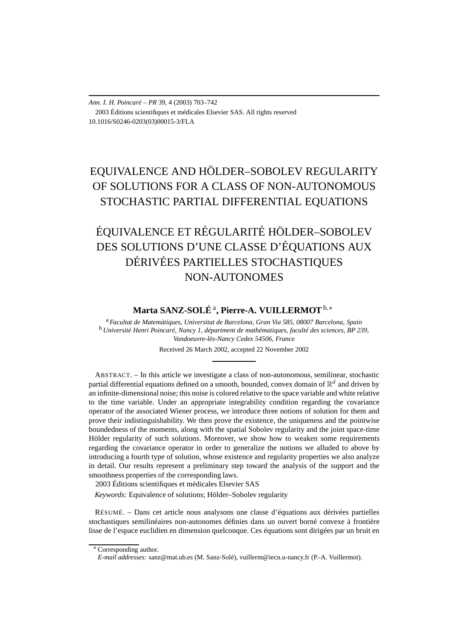*Ann. I. H. Poincaré – PR* 39, 4 (2003) 703–742 2003 Éditions scientifiques et médicales Elsevier SAS. All rights reserved 10.1016/S0246-0203(03)00015-3/FLA

# EQUIVALENCE AND HÖLDER–SOBOLEV REGULARITY OF SOLUTIONS FOR A CLASS OF NON-AUTONOMOUS STOCHASTIC PARTIAL DIFFERENTIAL EQUATIONS

# ÉQUIVALENCE ET RÉGULARITÉ HÖLDER–SOBOLEV DES SOLUTIONS D'UNE CLASSE D'ÉQUATIONS AUX DÉRIVÉES PARTIELLES STOCHASTIQUES NON-AUTONOMES

# **Marta SANZ-SOLÉ** <sup>a</sup>**, Pierre-A. VUILLERMOT**b*,*<sup>∗</sup>

<sup>a</sup> *Facultat de Matemàtiques, Universitat de Barcelona, Gran Via 585, 08007 Barcelona, Spain* <sup>b</sup> *Université Henri Poincaré, Nancy 1, départment de mathématiques, faculté des sciences, BP 239, Vandoeuvre-lès-Nancy Cedex 54506, France*

Received 26 March 2002, accepted 22 November 2002

ABSTRACT. – In this article we investigate a class of non-autonomous, semilinear, stochastic partial differential equations defined on a smooth, bounded, convex domain of  $\mathbb{R}^d$  and driven by an infinite-dimensional noise; this noise is colored relative to the space variable and white relative to the time variable. Under an appropriate integrability condition regarding the covariance operator of the associated Wiener process, we introduce three notions of solution for them and prove their indistinguishability. We then prove the existence, the uniqueness and the pointwise boundedness of the moments, along with the spatial Sobolev regularity and the joint space-time Hölder regularity of such solutions. Moreover, we show how to weaken some requirements regarding the covariance operator in order to generalize the notions we alluded to above by introducing a fourth type of solution, whose existence and regularity properties we also analyze in detail. Our results represent a preliminary step toward the analysis of the support and the smoothness properties of the corresponding laws.

2003 Éditions scientifiques et médicales Elsevier SAS

*Keywords:* Equivalence of solutions; Hölder–Sobolev regularity

RÉSUMÉ. – Dans cet article nous analysons une classe d'équations aux dérivées partielles stochastiques semilinéaires non-autonomes définies dans un ouvert borné convexe à frontière lisse de l'espace euclidien en dimension quelconque. Ces équations sont dirigées par un bruit en

<sup>∗</sup> Corresponding author.

*E-mail addresses:* sanz@mat.ub.es (M. Sanz-Solé), vuillerm@iecn.u-nancy.fr (P.-A. Vuillermot).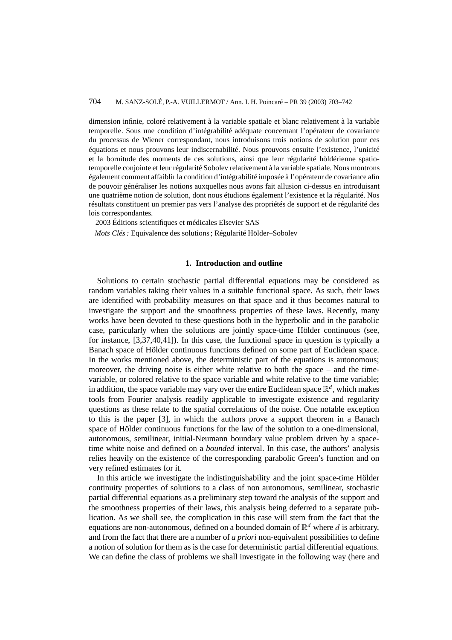dimension infinie, coloré relativement à la variable spatiale et blanc relativement à la variable temporelle. Sous une condition d'intégrabilité adéquate concernant l'opérateur de covariance du processus de Wiener correspondant, nous introduisons trois notions de solution pour ces équations et nous prouvons leur indiscernabilité. Nous prouvons ensuite l'existence, l'unicité et la bornitude des moments de ces solutions, ainsi que leur régularité höldérienne spatiotemporelle conjointe et leur régularité Sobolev relativement à la variable spatiale. Nous montrons également comment affaiblir la condition d'intégrabilité imposée à l'opérateur de covariance afin de pouvoir généraliser les notions auxquelles nous avons fait allusion ci-dessus en introduisant une quatrième notion de solution, dont nous étudions également l'existence et la régularité. Nos résultats constituent un premier pas vers l'analyse des propriétés de support et de régularité des lois correspondantes.

2003 Éditions scientifiques et médicales Elsevier SAS

*Mots Clés :* Equivalence des solutions ; Régularité Hölder–Sobolev

### **1. Introduction and outline**

Solutions to certain stochastic partial differential equations may be considered as random variables taking their values in a suitable functional space. As such, their laws are identified with probability measures on that space and it thus becomes natural to investigate the support and the smoothness properties of these laws. Recently, many works have been devoted to these questions both in the hyperbolic and in the parabolic case, particularly when the solutions are jointly space-time Hölder continuous (see, for instance, [3,37,40,41]). In this case, the functional space in question is typically a Banach space of Hölder continuous functions defined on some part of Euclidean space. In the works mentioned above, the deterministic part of the equations is autonomous; moreover, the driving noise is either white relative to both the space – and the timevariable, or colored relative to the space variable and white relative to the time variable; in addition, the space variable may vary over the entire Euclidean space  $\mathbb{R}^d$ , which makes tools from Fourier analysis readily applicable to investigate existence and regularity questions as these relate to the spatial correlations of the noise. One notable exception to this is the paper [3], in which the authors prove a support theorem in a Banach space of Hölder continuous functions for the law of the solution to a one-dimensional, autonomous, semilinear, initial-Neumann boundary value problem driven by a spacetime white noise and defined on a *bounded* interval. In this case, the authors' analysis relies heavily on the existence of the corresponding parabolic Green's function and on very refined estimates for it.

In this article we investigate the indistinguishability and the joint space-time Hölder continuity properties of solutions to a class of non autonomous, semilinear, stochastic partial differential equations as a preliminary step toward the analysis of the support and the smoothness properties of their laws, this analysis being deferred to a separate publication. As we shall see, the complication in this case will stem from the fact that the equations are non-autonomous, defined on a bounded domain of  $\mathbb{R}^d$  where *d* is arbitrary, and from the fact that there are a number of *a priori* non-equivalent possibilities to define a notion of solution for them as is the case for deterministic partial differential equations. We can define the class of problems we shall investigate in the following way (here and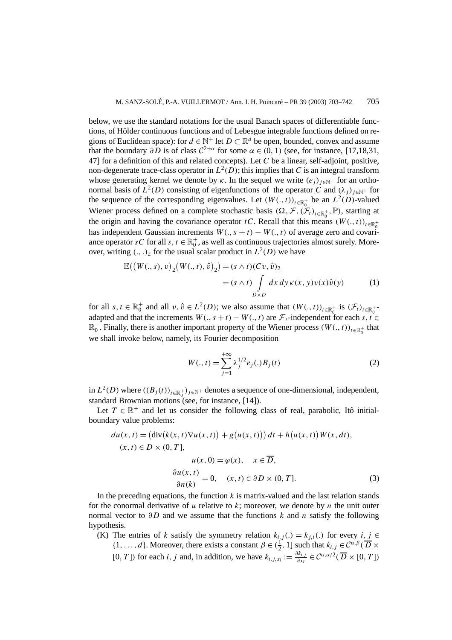below, we use the standard notations for the usual Banach spaces of differentiable functions, of Hölder continuous functions and of Lebesgue integrable functions defined on regions of Euclidean space): for  $d \in \mathbb{N}^+$  let  $D \subset \mathbb{R}^d$  be open, bounded, convex and assume that the boundary  $\partial D$  is of class  $C^{2+\alpha}$  for some  $\alpha \in (0, 1)$  (see, for instance, [17,18,31, 47] for a definition of this and related concepts). Let *C* be a linear, self-adjoint, positive, non-degenerate trace-class operator in  $L^2(D)$ ; this implies that *C* is an integral transform whose generating kernel we denote by  $\kappa$ . In the sequel we write  $(e_i)_{i \in \mathbb{N}^+}$  for an orthonormal basis of  $L^2(D)$  consisting of eigenfunctions of the operator *C* and  $(\lambda_i)_{i \in \mathbb{N}^+}$  for the sequence of the corresponding eigenvalues. Let  $(W(., t))_{t \in \mathbb{R}^+_0}$  be an  $L^2(D)$ -valued Wiener process defined on a complete stochastic basis  $(\Omega, \mathcal{F}, (\mathcal{F}_t)_{t \in \mathbb{R}^+_0}, \mathbb{P})$ , starting at the origin and having the covariance operator *tC*. Recall that this means  $(W(., t))_{t \in \mathbb{R}^+_0}$ has independent Gaussian increments  $W(., s + t) - W(., t)$  of average zero and covariance operator *sC* for all *s*,  $t \in \mathbb{R}_0^+$ , as well as continuous trajectories almost surely. Moreover, writing  $(.,.)_2$  for the usual scalar product in  $L^2(D)$  we have

$$
\mathbb{E}((W(.,s),v)_2(W(.,t),\hat{v})_2) = (s \wedge t)(Cv,\hat{v})_2
$$
  
=  $(s \wedge t) \int_{D \times D} dx dy \kappa(x,y)v(x)\hat{v}(y)$  (1)

for all  $s, t \in \mathbb{R}_0^+$  and all  $v, \hat{v} \in L^2(D)$ ; we also assume that  $(W(., t))_{t \in \mathbb{R}_0^+}$  is  $(\mathcal{F}_t)_{t \in \mathbb{R}_0^+}$ adapted and that the increments  $W(., s + t) - W(., t)$  are  $\mathcal{F}_t$ -independent for each  $s, t \in$  $\mathbb{R}_0^+$ . Finally, there is another important property of the Wiener process  $(W(., t))_{t \in \mathbb{R}_0^+}$  that we shall invoke below, namely, its Fourier decomposition

$$
W(.,t) = \sum_{j=1}^{+\infty} \lambda_j^{1/2} e_j(.) B_j(t)
$$
 (2)

in  $L^2(D)$  where  $((B_j(t))_{t \in \mathbb{R}^+_0})_{j \in \mathbb{N}^+}$  denotes a sequence of one-dimensional, independent, standard Brownian motions (see, for instance, [14]).

Let  $T \in \mathbb{R}^+$  and let us consider the following class of real, parabolic, Itô initialboundary value problems:

$$
du(x, t) = (\text{div}(k(x, t)\nabla u(x, t)) + g(u(x, t))) dt + h(u(x, t))W(x, dt),
$$
  
\n
$$
(x, t) \in D \times (0, T],
$$
  
\n
$$
u(x, 0) = \varphi(x), \quad x \in \overline{D},
$$
  
\n
$$
\frac{\partial u(x, t)}{\partial n(k)} = 0, \quad (x, t) \in \partial D \times (0, T].
$$
\n(3)

In the preceding equations, the function  $k$  is matrix-valued and the last relation stands for the conormal derivative of *u* relative to *k*; moreover, we denote by *n* the unit outer normal vector to *∂D* and we assume that the functions *k* and *n* satisfy the following hypothesis.

(K) The entries of *k* satisfy the symmetry relation  $k_{i,j}$  (.) =  $k_{j,i}$  (.) for every *i*, *j*  $\in$  $\{1, \ldots, d\}$ . Moreover, there exists a constant  $\beta \in (\frac{1}{2}, 1]$  such that  $k_{i,j} \in C^{\alpha, \beta}(\overline{D} \times$ [0*, T*]) for each *i, j* and, in addition, we have  $k_{i,j,x_i} := \frac{\partial k_{i,j}}{\partial x_i} \in C^{\alpha,\alpha/2}(\overline{D} \times [0, T])$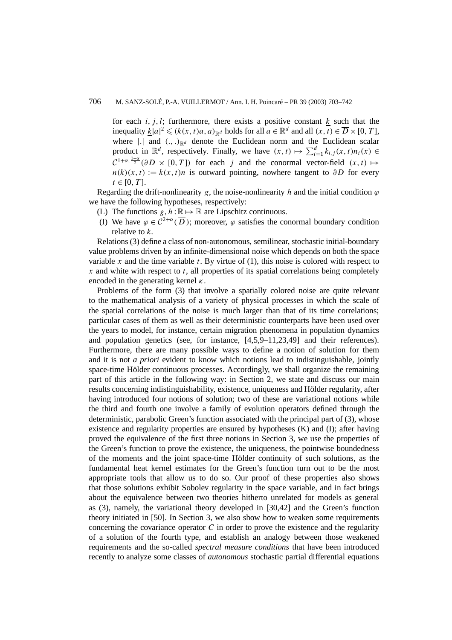for each  $i, j, l$ ; furthermore, there exists a positive constant  $k$  such that the inequality  $\underline{k}|a|^2 \leqslant (k(x, t)a, a)_{\mathbb{R}^d}$  holds for all  $a \in \mathbb{R}^d$  and all  $(x, t) \in \overline{D} \times [0, T]$ , where  $|\cdot|$  and  $(\cdot, \cdot)_{\mathbb{R}^d}$  denote the Euclidean norm and the Euclidean scalar product in  $\mathbb{R}^d$ , respectively. Finally, we have  $(x, t) \mapsto \sum_{i=1}^d k_{i,j}(x, t) n_i(x) \in$  $\mathcal{C}^{1+\alpha,\frac{1+\alpha}{2}}(\partial D \times [0,T])$  for each *j* and the conormal vector-field  $(x, t) \mapsto$  $n(k)(x, t) := k(x, t)n$  is outward pointing, nowhere tangent to  $\partial D$  for every  $t \in [0, T]$ .

Regarding the drift-nonlinearity *g*, the noise-nonlinearity *h* and the initial condition  $\varphi$ we have the following hypotheses, respectively:

- (L) The functions  $g, h : \mathbb{R} \mapsto \mathbb{R}$  are Lipschitz continuous.
- (I) We have  $\varphi \in C^{2+\alpha}(\overline{D})$ ; moreover,  $\varphi$  satisfies the conormal boundary condition relative to *k*.

Relations (3) define a class of non-autonomous, semilinear, stochastic initial-boundary value problems driven by an infinite-dimensional noise which depends on both the space variable  $x$  and the time variable  $t$ . By virtue of  $(1)$ , this noise is colored with respect to *x* and white with respect to *t*, all properties of its spatial correlations being completely encoded in the generating kernel *κ*.

Problems of the form (3) that involve a spatially colored noise are quite relevant to the mathematical analysis of a variety of physical processes in which the scale of the spatial correlations of the noise is much larger than that of its time correlations; particular cases of them as well as their deterministic counterparts have been used over the years to model, for instance, certain migration phenomena in population dynamics and population genetics (see, for instance, [4,5,9–11,23,49] and their references). Furthermore, there are many possible ways to define a notion of solution for them and it is not *a priori* evident to know which notions lead to indistinguishable, jointly space-time Hölder continuous processes. Accordingly, we shall organize the remaining part of this article in the following way: in Section 2, we state and discuss our main results concerning indistinguishability, existence, uniqueness and Hölder regularity, after having introduced four notions of solution; two of these are variational notions while the third and fourth one involve a family of evolution operators defined through the deterministic, parabolic Green's function associated with the principal part of (3), whose existence and regularity properties are ensured by hypotheses (K) and (I); after having proved the equivalence of the first three notions in Section 3, we use the properties of the Green's function to prove the existence, the uniqueness, the pointwise boundedness of the moments and the joint space-time Hölder continuity of such solutions, as the fundamental heat kernel estimates for the Green's function turn out to be the most appropriate tools that allow us to do so. Our proof of these properties also shows that those solutions exhibit Sobolev regularity in the space variable, and in fact brings about the equivalence between two theories hitherto unrelated for models as general as (3), namely, the variational theory developed in [30,42] and the Green's function theory initiated in [50]. In Section 3, we also show how to weaken some requirements concerning the covariance operator *C* in order to prove the existence and the regularity of a solution of the fourth type, and establish an analogy between those weakened requirements and the so-called *spectral measure conditions* that have been introduced recently to analyze some classes of *autonomous* stochastic partial differential equations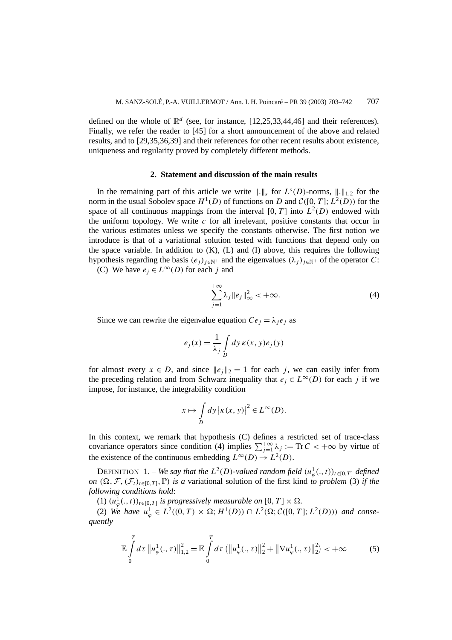defined on the whole of  $\mathbb{R}^d$  (see, for instance, [12,25,33,44,46] and their references). Finally, we refer the reader to [45] for a short announcement of the above and related results, and to [29,35,36,39] and their references for other recent results about existence, uniqueness and regularity proved by completely different methods.

#### **2. Statement and discussion of the main results**

In the remaining part of this article we write  $\| \cdot \|_s$  for  $L^s(D)$ -norms,  $\| \cdot \|_{1,2}$  for the norm in the usual Sobolev space  $H^1(D)$  of functions on *D* and  $\mathcal{C}([0, T]; L^2(D))$  for the space of all continuous mappings from the interval  $[0, T]$  into  $L^2(D)$  endowed with the uniform topology. We write  $c$  for all irrelevant, positive constants that occur in the various estimates unless we specify the constants otherwise. The first notion we introduce is that of a variational solution tested with functions that depend only on the space variable. In addition to  $(K)$ ,  $(L)$  and  $(I)$  above, this requires the following hypothesis regarding the basis  $(e_j)_{j \in \mathbb{N}^+}$  and the eigenvalues  $(\lambda_j)_{j \in \mathbb{N}^+}$  of the operator *C*:

(C) We have  $e_j \in L^{\infty}(D)$  for each *j* and

$$
\sum_{j=1}^{+\infty} \lambda_j \|e_j\|_{\infty}^2 < +\infty.
$$
 (4)

Since we can rewrite the eigenvalue equation  $Ce_j = \lambda_i e_j$  as

$$
e_j(x) = \frac{1}{\lambda_j} \int_D dy \,\kappa(x, y) e_j(y)
$$

for almost every  $x \in D$ , and since  $||e_i||_2 = 1$  for each *j*, we can easily infer from the preceding relation and from Schwarz inequality that  $e_j \in L^{\infty}(D)$  for each *j* if we impose, for instance, the integrability condition

$$
x \mapsto \int\limits_D dy \, |\kappa(x, y)|^2 \in L^\infty(D).
$$

In this context, we remark that hypothesis (C) defines a restricted set of trace-class covariance operators since condition (4) implies  $\sum_{j=1}^{+\infty} \lambda_j := \text{Tr } C < +\infty$  by virtue of the existence of the continuous embedding  $L^{\infty}(D) \to L^2(D)$ .

DEFINITION 1. – *We say that the*  $L^2(D)$ -valued random field  $(u^1_\varphi(.,t))_{t\in[0,T]}$  defined *on*  $(\Omega, \mathcal{F}, (\mathcal{F}_t)_{t \in [0,T]}, \mathbb{P})$  *is a* variational solution of the first kind *to problem* (3) *if the following conditions hold*:

 $(1)$   $(u^1_\varphi(., t))_{t \in [0,T]}$  *is progressively measurable on*  $[0, T] \times \Omega$ .

 $(2)$  *We have*  $u_{\varphi}^1 \in L^2((0, T) \times \Omega; H^1(D)) \cap L^2(\Omega; \mathcal{C}([0, T]; L^2(D)))$  *and consequently*

$$
\mathbb{E}\int_{0}^{T} d\tau \left\|u_{\varphi}^{1}(.,\tau)\right\|_{1,2}^{2} = \mathbb{E}\int_{0}^{T} d\tau \left(\left\|u_{\varphi}^{1}(.,\tau)\right\|_{2}^{2} + \left\|\nabla u_{\varphi}^{1}(.,\tau)\right\|_{2}^{2}\right) < +\infty
$$
 (5)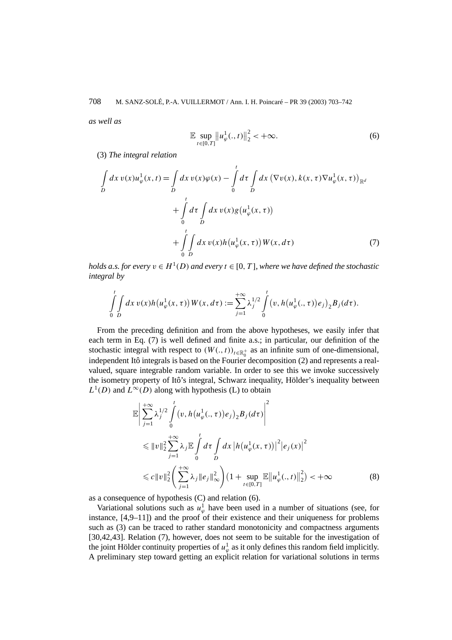*as well as*

$$
\mathbb{E} \sup_{t \in [0,T]} \|u_{\varphi}^1(.,t)\|_2^2 < +\infty.
$$
 (6)

(3) *The integral relation*

$$
\int_{D} dx \, v(x) u_{\varphi}^{1}(x, t) = \int_{D} dx \, v(x) \varphi(x) - \int_{0}^{t} d\tau \int_{D} dx \, (\nabla v(x), k(x, \tau) \nabla u_{\varphi}^{1}(x, \tau))_{\mathbb{R}^{d}}
$$
\n
$$
+ \int_{0}^{t} d\tau \int_{D} dx \, v(x) g(u_{\varphi}^{1}(x, \tau))
$$
\n
$$
+ \int_{0}^{t} \int_{D} dx \, v(x) h(u_{\varphi}^{1}(x, \tau)) W(x, d\tau) \tag{7}
$$

*holds a.s. for every*  $v \in H^1(D)$  *and every*  $t \in [0, T]$ *, where we have defined the stochastic integral by*

$$
\int_{0}^{t} \int_{D} dx \, v(x) h(u_{\varphi}^{1}(x,\tau)) W(x,d\tau) := \sum_{j=1}^{+\infty} \lambda_{j}^{1/2} \int_{0}^{t} (v, h(u_{\varphi}^{1}(.,\tau)) e_{j})_{2} B_{j}(d\tau).
$$

From the preceding definition and from the above hypotheses, we easily infer that each term in Eq. (7) is well defined and finite a.s.; in particular, our definition of the stochastic integral with respect to  $(W(., t))_{t \in \mathbb{R}^+_0}$  as an infinite sum of one-dimensional, independent Itô integrals is based on the Fourier decomposition (2) and represents a realvalued, square integrable random variable. In order to see this we invoke successively the isometry property of Itô's integral, Schwarz inequality, Hölder's inequality between  $L^1(D)$  and  $L^{\infty}(D)$  along with hypothesis (L) to obtain

$$
\mathbb{E}\left|\sum_{j=1}^{+\infty} \lambda_j^{1/2} \int_0^t (v, h(u_\varphi^1(., \tau))e_j)_2 B_j(d\tau)\right|^2
$$
  
\n
$$
\leq \|v\|_2^2 \sum_{j=1}^{+\infty} \lambda_j \mathbb{E} \int_0^t d\tau \int_D dx |h(u_\varphi^1(x, \tau))|^2 |e_j(x)|^2
$$
  
\n
$$
\leq c \|v\|_2^2 \left(\sum_{j=1}^{+\infty} \lambda_j \|e_j\|_\infty^2\right) \left(1 + \sup_{t \in [0, T]} \mathbb{E} \|u_\varphi^1(., t)\|_2^2\right) < +\infty
$$
 (8)

as a consequence of hypothesis (C) and relation (6).

Variational solutions such as  $u^1_\varphi$  have been used in a number of situations (see, for instance,  $[4,9-11]$ ) and the proof of their existence and their uniqueness for problems such as (3) can be traced to rather standard monotonicity and compactness arguments [30,42,43]. Relation (7), however, does not seem to be suitable for the investigation of the joint Hölder continuity properties of  $u_{\varphi}^1$  as it only defines this random field implicitly. A preliminary step toward getting an explicit relation for variational solutions in terms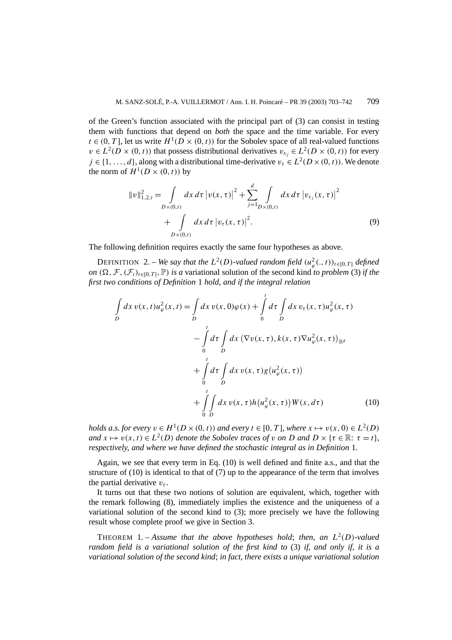of the Green's function associated with the principal part of (3) can consist in testing them with functions that depend on *both* the space and the time variable. For every  $t \in (0, T]$ , let us write  $H^1(D \times (0, t))$  for the Sobolev space of all real-valued functions  $v \in L^2(D \times (0, t))$  that possess distributional derivatives  $v_{x_i} \in L^2(D \times (0, t))$  for every  $j \in \{1, \ldots, d\}$ , along with a distributional time-derivative  $v_\tau \in L^2(D \times (0, t))$ . We denote the norm of  $H^1(D \times (0,t))$  by

$$
||v||_{1,2,t}^{2} = \int_{D\times(0,t)} dx \, d\tau \, |v(x,\tau)|^{2} + \sum_{j=1}^{d} \int_{D\times(0,t)} dx \, d\tau \, |v_{x_{j}}(x,\tau)|^{2} + \int_{D\times(0,t)} dx \, d\tau \, |v_{\tau}(x,\tau)|^{2}.
$$
 (9)

The following definition requires exactly the same four hypotheses as above.

DEFINITION 2. – *We say that the*  $L^2(D)$ -valued random field  $(u^2_\varphi(.,t))_{t\in[0,T]}$  defined *on*  $(\Omega, \mathcal{F}, (\mathcal{F}_t)_{t \in [0,T]}, \mathbb{P})$  *is a* variational solution of the second kind *to problem* (3) *if the first two conditions of Definition* 1 *hold, and if the integral relation*

$$
\int_{D} dx \, v(x, t) u_{\varphi}^{2}(x, t) = \int_{D} dx \, v(x, 0) \varphi(x) + \int_{0}^{t} d\tau \int_{D} dx \, v_{\tau}(x, \tau) u_{\varphi}^{2}(x, \tau) \n- \int_{0}^{t} d\tau \int_{D} dx \, (\nabla v(x, \tau), k(x, \tau) \nabla u_{\varphi}^{2}(x, \tau))_{\mathbb{R}^{d}} \n+ \int_{0}^{t} d\tau \int_{D} dx \, v(x, \tau) g(u_{\varphi}^{2}(x, \tau)) \n+ \int_{0}^{t} d\tau \int_{D} dx \, v(x, \tau) h(u_{\varphi}^{2}(x, \tau)) W(x, d\tau)
$$
\n(10)

*holds a.s. for every*  $v \in H^1(D \times (0, t))$  *and every*  $t \in [0, T]$ *, where*  $x \mapsto v(x, 0) \in L^2(D)$ *and*  $x \mapsto v(x, t) \in L^2(D)$  *denote the Sobolev traces of v on D and*  $D \times \{\tau \in \mathbb{R} : \tau = t\}$ *, respectively, and where we have defined the stochastic integral as in Definition* 1*.*

Again, we see that every term in Eq. (10) is well defined and finite a.s., and that the structure of (10) is identical to that of (7) up to the appearance of the term that involves the partial derivative  $v_{\tau}$ .

It turns out that these two notions of solution are equivalent, which, together with the remark following (8), immediately implies the existence and the uniqueness of a variational solution of the second kind to (3); more precisely we have the following result whose complete proof we give in Section 3.

THEOREM 1. – Assume that the above hypotheses hold; then, an  $L^2(D)$ -valued *random field is a variational solution of the first kind to* (3) *if, and only if, it is a variational solution of the second kind*; *in fact, there exists a unique variational solution*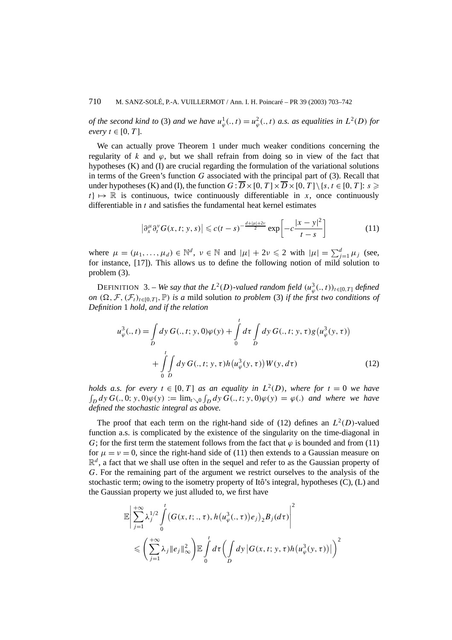*of the second kind to* (3) *and we have*  $u^1_\varphi(., t) = u^2_\varphi(., t)$  *a.s. as equalities in*  $L^2(D)$  *for*  $every$   $t \in [0, T]$ *.* 

We can actually prove Theorem 1 under much weaker conditions concerning the regularity of  $k$  and  $\varphi$ , but we shall refrain from doing so in view of the fact that hypotheses (K) and (I) are crucial regarding the formulation of the variational solutions in terms of the Green's function *G* associated with the principal part of (3). Recall that under hypotheses (K) and (I), the function  $G : \overline{D} \times [0, T] \times \overline{D} \times [0, T] \setminus \{s, t \in [0, T] : s \geqslant 0\}$  $t$   $\mapsto \mathbb{R}$  is continuous, twice continuously differentiable in *x*, once continuously differentiable in *t* and satisfies the fundamental heat kernel estimates

$$
\left|\partial_x^{\mu}\partial_t^{\nu}G(x,t;y,s)\right| \leqslant c(t-s)^{-\frac{d+\left|\mu\right|+2\nu}{2}}\exp\left[-c\frac{|x-y|^2}{t-s}\right] \tag{11}
$$

where  $\mu = (\mu_1, \dots, \mu_d) \in \mathbb{N}^d$ ,  $\nu \in \mathbb{N}$  and  $|\mu| + 2\nu \leq 2$  with  $|\mu| = \sum_{j=1}^d \mu_j$  (see, for instance, [17]). This allows us to define the following notion of mild solution to problem (3).

DEFINITION 3. – *We say that the*  $L^2(D)$ -valued random field  $(u^3_\varphi(., t))_{t \in [0,T]}$  defined *on*  $(\Omega, \mathcal{F}, (\mathcal{F}_t)_{t \in [0,T]}, \mathbb{P})$  *is a* mild solution *to problem* (3) *if the first two conditions of Definition* 1 *hold, and if the relation*

$$
u_{\varphi}^{3}(.,t) = \int_{D} dy \, G(.,t; y,0)\varphi(y) + \int_{0}^{t} d\tau \int_{D} dy \, G(.,t; y,\tau)g(u_{\varphi}^{3}(y,\tau)) + \int_{0}^{t} \int_{D} dy \, G(.,t; y,\tau)h(u_{\varphi}^{3}(y,\tau))W(y,d\tau)
$$
 (12)

*holds a.s. for every*  $t \in [0, T]$  *as an equality in*  $L^2(D)$ *, where for*  $t = 0$  *we have*  $\int_D dy G(.,0; y,0) \varphi(y) := \lim_{t \searrow 0} \int_D dy G(.,t; y,0) \varphi(y) = \varphi(.)$  and where we have *defined the stochastic integral as above.*

The proof that each term on the right-hand side of (12) defines an  $L^2(D)$ -valued function a.s. is complicated by the existence of the singularity on the time-diagonal in *G*; for the first term the statement follows from the fact that  $\varphi$  is bounded and from (11) for  $\mu = \nu = 0$ , since the right-hand side of (11) then extends to a Gaussian measure on  $\mathbb{R}^d$ , a fact that we shall use often in the sequel and refer to as the Gaussian property of *G*. For the remaining part of the argument we restrict ourselves to the analysis of the stochastic term; owing to the isometry property of Itô's integral, hypotheses (C), (L) and the Gaussian property we just alluded to, we first have

$$
\mathbb{E}\left|\sum_{j=1}^{+\infty}\lambda_j^{1/2}\int\limits_0^t\left(G(x,t;.,\tau),h\left(u_{\varphi}^3(.,\tau)\right)e_j\right)_2B_j(d\tau)\right|^2\\ \leqslant\left(\sum_{j=1}^{+\infty}\lambda_j\|e_j\|_{\infty}^2\right)\mathbb{E}\int\limits_0^t d\tau\left(\int\limits_D dy\left|G(x,t;y,\tau)h\left(u_{\varphi}^3(y,\tau)\right)\right|\right)^2
$$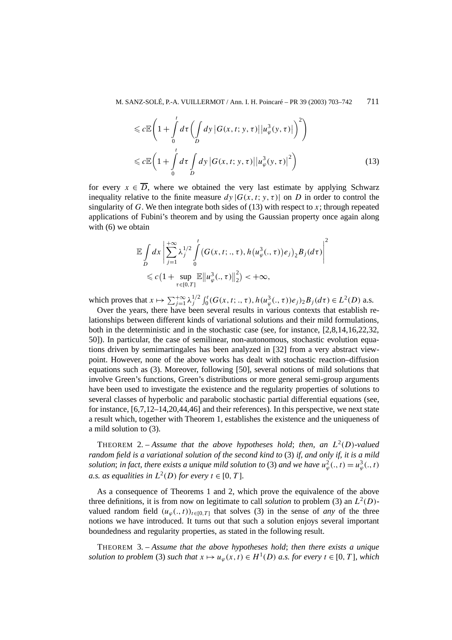$$
\leqslant c \mathbb{E}\left(1 + \int\limits_{0}^{t} d\tau \left(\int\limits_{D} dy \left|G(x, t; y, \tau)\right| \left|u_{\varphi}^{3}(y, \tau)\right|\right)^{2}\right)
$$
  

$$
\leqslant c \mathbb{E}\left(1 + \int\limits_{0}^{t} d\tau \int\limits_{D} dy \left|G(x, t; y, \tau)\right| \left|u_{\varphi}^{3}(y, \tau)\right|^{2}\right)
$$
(13)

for every  $x \in \overline{D}$ , where we obtained the very last estimate by applying Schwarz inequality relative to the finite measure  $dy |G(x, t; y, \tau)|$  on *D* in order to control the singularity of *G*. We then integrate both sides of (13) with respect to *x*; through repeated applications of Fubini's theorem and by using the Gaussian property once again along with (6) we obtain

$$
\mathbb{E}\int\limits_{D}dx\left|\sum_{j=1}^{+\infty}\lambda_j^{1/2}\int\limits_{0}^{t}\left(G(x,t;.,\tau),h\left(u_{\varphi}^3(.,\tau)\right)e_j\right)_2B_j(d\tau)\right|^2\\ \leqslant c\left(1+\sup\limits_{\tau\in[0,T]}\mathbb{E}\left\|u_{\varphi}^3(.,\tau)\right\|_2^2\right)<+\infty,
$$

which proves that  $x \mapsto \sum_{j=1}^{+\infty} \lambda_j^{1/2} \int_0^t (G(x, t; \cdot, \tau), h(u_{\varphi}^3(\cdot, \tau)) e_j)_2 B_j(d\tau) \in L^2(D)$  a.s.

Over the years, there have been several results in various contexts that establish relationships between different kinds of variational solutions and their mild formulations, both in the deterministic and in the stochastic case (see, for instance, [2,8,14,16,22,32, 50]). In particular, the case of semilinear, non-autonomous, stochastic evolution equations driven by semimartingales has been analyzed in [32] from a very abstract viewpoint. However, none of the above works has dealt with stochastic reaction–diffusion equations such as (3). Moreover, following [50], several notions of mild solutions that involve Green's functions, Green's distributions or more general semi-group arguments have been used to investigate the existence and the regularity properties of solutions to several classes of hyperbolic and parabolic stochastic partial differential equations (see, for instance, [6,7,12–14,20,44,46] and their references). In this perspective, we next state a result which, together with Theorem 1, establishes the existence and the uniqueness of a mild solution to (3).

THEOREM 2. – Assume that the above hypotheses hold; then, an  $L^2(D)$ -valued *random field is a variational solution of the second kind to* (3) *if, and only if, it is a mild solution*; *in fact, there exists a unique mild solution to* (3) *and we have*  $u^2_{\varphi}(\cdot, t) = u^3_{\varphi}(\cdot, t)$ *a.s. as equalities in*  $L^2(D)$  *for every*  $t \in [0, T]$ *.* 

As a consequence of Theorems 1 and 2, which prove the equivalence of the above three definitions, it is from now on legitimate to call *solution* to problem (3) an  $L^2(D)$ valued random field  $(u_{\varphi}(t), t)_{t \in [0, T]}$  that solves (3) in the sense of *any* of the three notions we have introduced. It turns out that such a solution enjoys several important boundedness and regularity properties, as stated in the following result.

THEOREM 3. – *Assume that the above hypotheses hold*; *then there exists a unique solution to problem* (3) *such that*  $x \mapsto u_\varphi(x, t) \in H^1(D)$  *a.s. for every*  $t \in [0, T]$ *, which*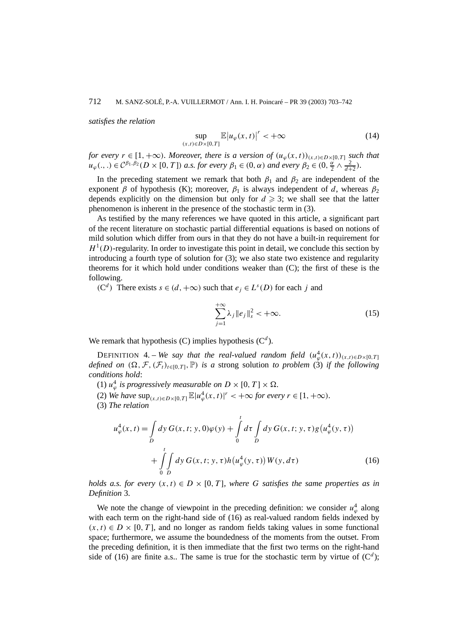*satisfies the relation*

$$
\sup_{(x,t)\in D\times[0,T]} \mathbb{E}\big|u_{\varphi}(x,t)\big|^r < +\infty\tag{14}
$$

*for every*  $r \in [1, +\infty)$ *. Moreover, there is a version of*  $(u_{\varphi}(x, t))_{(x,t) \in D \times [0, T]}$  *such that*  $u_{\varphi}(\cdot, \cdot) \in C^{\beta_1, \beta_2}(D \times [0, T])$  *a.s. for every*  $\beta_1 \in (0, \alpha)$  *and every*  $\beta_2 \in (0, \frac{\alpha}{2} \wedge \frac{2}{d+2})$ *.* 

In the preceding statement we remark that both  $\beta_1$  and  $\beta_2$  are independent of the exponent *β* of hypothesis (K); moreover,  $\beta_1$  is always independent of *d*, whereas  $\beta_2$ depends explicitly on the dimension but only for  $d \geqslant 3$ ; we shall see that the latter phenomenon is inherent in the presence of the stochastic term in (3).

As testified by the many references we have quoted in this article, a significant part of the recent literature on stochastic partial differential equations is based on notions of mild solution which differ from ours in that they do not have a built-in requirement for  $H^1(D)$ -regularity. In order to investigate this point in detail, we conclude this section by introducing a fourth type of solution for (3); we also state two existence and regularity theorems for it which hold under conditions weaker than (C); the first of these is the following.

*(*C<sup>*d*</sup>) There exists *s* ∈ *(d,* +∞) such that  $e_j$  ∈  $L^s(D)$  for each *j* and

$$
\sum_{j=1}^{+\infty} \lambda_j \|e_j\|_s^2 < +\infty.
$$
 (15)

We remark that hypothesis  $(C)$  implies hypothesis  $(C<sup>d</sup>)$ .

DEFINITION 4. – *We say that the real-valued random field*  $(u^4_\varphi(x,t))_{(x,t)\in D\times [0,T]}$ *defined on*  $(\Omega, \mathcal{F}, (\mathcal{F}_t)_{t \in [0,T]}, \mathbb{P})$  *is a* strong solution *to problem* (3) *if the following conditions hold*:

- (1)  $u_{\varphi}^4$  *is progressively measurable on*  $D \times [0, T] \times \Omega$ .
- (2) *We have*  $\sup_{(x,t) \in D \times [0,T]} \mathbb{E}[u^4_{\varphi}(x,t)|^r < +\infty$  for every  $r \in [1,+\infty)$ *.*
- (3) *The relation*

$$
u_{\varphi}^{4}(x,t) = \int_{D} dy \, G(x,t; y,0)\varphi(y) + \int_{0}^{t} d\tau \int_{D} dy \, G(x,t; y,\tau)g(u_{\varphi}^{4}(y,\tau)) + \int_{0}^{t} \int_{D} dy \, G(x,t; y,\tau)h(u_{\varphi}^{4}(y,\tau))W(y,d\tau)
$$
 (16)

*holds a.s. for every*  $(x, t) \in D \times [0, T]$ *, where G satisfies the same properties as in Definition* 3*.*

We note the change of viewpoint in the preceding definition: we consider  $u_{\varphi}^4$  along with each term on the right-hand side of (16) as real-valued random fields indexed by  $(x, t) \in D \times [0, T]$ , and no longer as random fields taking values in some functional space; furthermore, we assume the boundedness of the moments from the outset. From the preceding definition, it is then immediate that the first two terms on the right-hand side of (16) are finite a.s.. The same is true for the stochastic term by virtue of  $(C^d)$ ;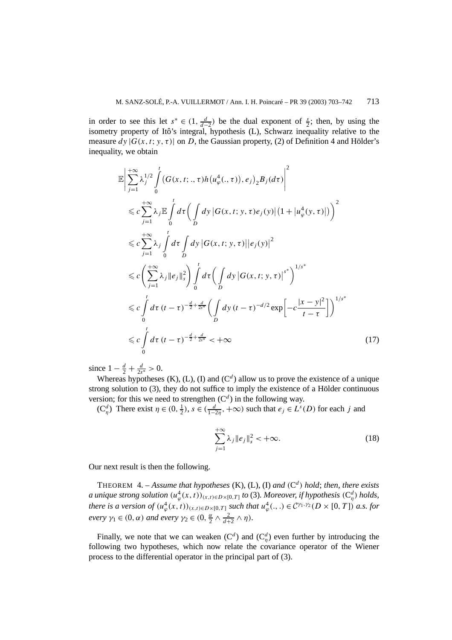in order to see this let  $s^* \in (1, \frac{d}{d-2})$  be the dual exponent of  $\frac{s}{2}$ ; then, by using the isometry property of Itô's integral, hypothesis (L), Schwarz inequality relative to the measure  $dy | G(x, t; y, \tau)|$  on *D*, the Gaussian property, (2) of Definition 4 and Hölder's inequality, we obtain

$$
\mathbb{E}\left|\sum_{j=1}^{+\infty}\lambda_{j}^{1/2}\int_{0}^{t}\left(G(x,t;.,\tau)h(u_{\varphi}^{4}(.,\tau)),e_{j}\right)_{2}B_{j}(d\tau)\right|^{2} \n\leq c\sum_{j=1}^{+\infty}\lambda_{j}\mathbb{E}\int_{0}^{t}d\tau\left(\int_{D}dy|G(x,t;y,\tau)e_{j}(y)|\left(1+|u_{\varphi}^{4}(y,\tau)|\right)\right)^{2} \n\leq c\sum_{j=1}^{+\infty}\lambda_{j}\int_{0}^{t}d\tau\int_{D}dy|G(x,t;y,\tau)||e_{j}(y)|^{2} \n\leq c\left(\sum_{j=1}^{+\infty}\lambda_{j}\|e_{j}\|_{s}^{2}\right)\int_{0}^{t}d\tau\left(\int_{D}dy|G(x,t;y,\tau)|^{s^{*}}\right)^{1/s^{*}} \n\leq c\int_{0}^{t}d\tau(t-\tau)^{-\frac{d}{2}+\frac{d}{2s^{*}}}\left(\int_{D}dy(t-\tau)^{-d/2}\exp\left[-c\frac{|x-y|^{2}}{t-\tau}\right]\right)^{1/s^{*}} \n\leq c\int_{0}^{t}d\tau(t-\tau)^{-\frac{d}{2}+\frac{d}{2s^{*}}}<+\infty
$$
\n(17)

since  $1 - \frac{d}{2} + \frac{d}{2s^*} > 0$ .

Whereas hypotheses  $(K)$ ,  $(L)$ ,  $(I)$  and  $(C<sup>d</sup>)$  allow us to prove the existence of a unique strong solution to (3), they do not suffice to imply the existence of a Hölder continuous version; for this we need to strengthen  $(C<sup>d</sup>)$  in the following way.

 $(C_q^d)$  There exist  $\eta \in (0, \frac{1}{2})$ ,  $s \in (\frac{d}{1-2\eta}, +\infty)$  such that  $e_j \in L^s(D)$  for each *j* and

$$
\sum_{j=1}^{+\infty} \lambda_j \|e_j\|_s^2 < +\infty.
$$
 (18)

Our next result is then the following.

THEOREM 4. – Assume that hypotheses  $(K)$ ,  $(L)$ ,  $(I)$  and  $(C<sup>d</sup>)$  hold; then, there exists *a* unique strong solution  $(u^4_\varphi(x, t))_{(x, t) \in D \times [0, T]}$  to (3). Moreover, if hypothesis  $(C^d_\eta)$  holds, *there is a version of*  $(u^4_\varphi(x,t))_{(x,t)\in D\times[0,T]}$  *such that*  $u^4_\varphi(.,.) \in C^{\gamma_1,\gamma_2}(D\times[0,T])$  *a.s. for every*  $\gamma_1 \in (0, \alpha)$  *and every*  $\gamma_2 \in (0, \frac{\alpha}{2} \wedge \frac{2}{d+2} \wedge \eta)$ *.* 

Finally, we note that we can weaken  $(C^d)$  and  $(C^d_\eta)$  even further by introducing the following two hypotheses, which now relate the covariance operator of the Wiener process to the differential operator in the principal part of (3).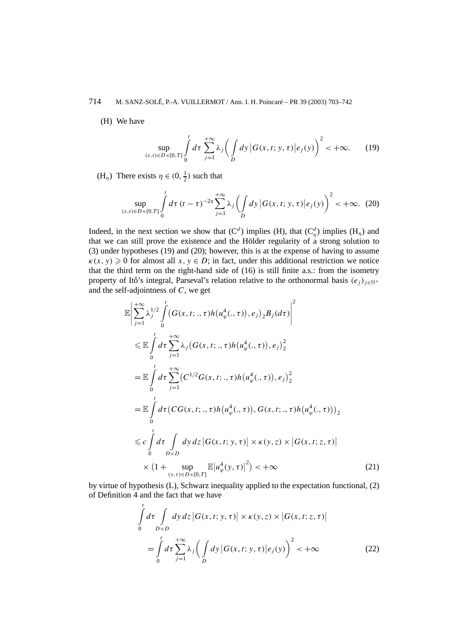# 714 M. SANZ-SOLÉ, P.-A. VUILLERMOT / Ann. I. H. Poincaré – PR 39 (2003) 703–742

(H) We have

$$
\sup_{(x,t)\in D\times[0,T]} \int\limits_0^t d\tau \sum_{j=1}^{+\infty} \lambda_j \bigg(\int\limits_D dy \, \big| G(x,t;y,\tau) \big| e_j(y)\bigg)^2 < +\infty. \tag{19}
$$

(H<sub>*η*</sub>) There exists  $\eta \in (0, \frac{1}{2})$  such that

$$
\sup_{(x,t)\in D\times[0,T]} \int\limits_{0}^{t} d\tau \, (t-\tau)^{-2\eta} \sum_{j=1}^{+\infty} \lambda_j \left( \int\limits_{D} dy \, |G(x,t;y,\tau)| e_j(y) \right)^2 < +\infty. \tag{20}
$$

Indeed, in the next section we show that  $(C^d)$  implies  $(H)$ , that  $(C^d_\eta)$  implies  $(H_\eta)$  and that we can still prove the existence and the Hölder regularity of  $a$  strong solution to (3) under hypotheses (19) and (20); however, this is at the expense of having to assume  $\kappa(x, y) \geq 0$  for almost all  $x, y \in D$ ; in fact, under this additional restriction we notice that the third term on the right-hand side of (16) is still finite a.s.: from the isometry property of Itô's integral, Parseval's relation relative to the orthonormal basis  $(e_i)_{i \in \mathbb{N}^+}$ and the self-adjointness of *C*, we get

$$
\mathbb{E}\left|\sum_{j=1}^{+\infty} \lambda_j^{1/2} \int_{0}^{t} (G(x, t;., \tau) h(u_{\varphi}^4(., \tau)), e_j)_2 B_j(d\tau)\right|^2
$$
\n
$$
\leq \mathbb{E} \int_{0}^{t} d\tau \sum_{j=1}^{+\infty} \lambda_j (G(x, t;., \tau) h(u_{\varphi}^4(., \tau)), e_j)_2^2
$$
\n
$$
= \mathbb{E} \int_{0}^{t} d\tau \sum_{j=1}^{+\infty} (C^{1/2} G(x, t;., \tau) h(u_{\varphi}^4(., \tau)), e_j)_2^2
$$
\n
$$
= \mathbb{E} \int_{0}^{t} d\tau (CG(x, t;., \tau) h(u_{\varphi}^4(., \tau)), G(x, t;., \tau) h(u_{\varphi}^4(., \tau)))_2
$$
\n
$$
\leq c \int_{0}^{t} d\tau \int_{D \times D} dy \, dz \, |G(x, t; y, \tau)| \times \kappa(y, z) \times |G(x, t; z, \tau)|
$$
\n
$$
\times (1 + \sup_{(y, \tau) \in D \times [0, T]} \mathbb{E} |u_{\varphi}^4(y, \tau)|^2) < +\infty
$$
\n(21)

by virtue of hypothesis (L), Schwarz inequality applied to the expectation functional, (2) of Definition 4 and the fact that we have

$$
\int_{0}^{t} d\tau \int_{D\times D} dy dz |G(x, t; y, \tau)| \times \kappa(y, z) \times |G(x, t; z, \tau)|
$$
\n
$$
= \int_{0}^{t} d\tau \sum_{j=1}^{+\infty} \lambda_{j} \left( \int_{D} dy |G(x, t; y, \tau)| e_{j}(y) \right)^{2} < +\infty
$$
\n(22)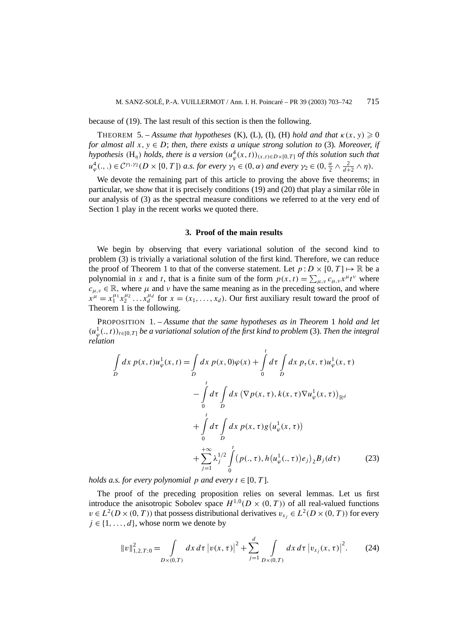because of (19). The last result of this section is then the following.

THEOREM 5. – *Assume that hypotheses* (K), (L), (I), (H) *hold and that*  $\kappa(x, y) \geq 0$ *for almost all*  $x, y \in D$ ; *then, there exists a unique strong solution to* (3)*. Moreover, if hypothesis*  $(H_{\eta})$  *holds, there is a version*  $(u_{\varphi}^4(x, t))_{(x, t) \in D \times [0, T]}$  *of this solution such that*  $u^4_{\varphi}(.,.) \in \mathcal{C}^{\gamma_1,\gamma_2}(D\times [0,T])$  a.s. for every  $\gamma_1 \in (0,\alpha)$  and every  $\gamma_2 \in (0,\frac{\alpha}{2} \wedge \frac{2}{d+2} \wedge \eta)$ .

We devote the remaining part of this article to proving the above five theorems; in particular, we show that it is precisely conditions (19) and (20) that play a similar rôle in our analysis of (3) as the spectral measure conditions we referred to at the very end of Section 1 play in the recent works we quoted there.

#### **3. Proof of the main results**

We begin by observing that every variational solution of the second kind to problem (3) is trivially a variational solution of the first kind. Therefore, we can reduce the proof of Theorem 1 to that of the converse statement. Let  $p: D \times [0, T] \mapsto \mathbb{R}$  be a polynomial in *x* and *t*, that is a finite sum of the form  $p(x, t) = \sum_{\mu,\nu} c_{\mu,\nu} x^{\mu} t^{\nu}$  where  $c_{\mu,\nu} \in \mathbb{R}$ , where  $\mu$  and  $\nu$  have the same meaning as in the preceding section, and where  $x^{\mu} = x_1^{\mu_1} x_2^{\mu_2} \dots x_d^{\mu_d}$  for  $x = (x_1, \dots, x_d)$ . Our first auxiliary result toward the proof of Theorem 1 is the following.

PROPOSITION 1. – *Assume that the same hypotheses as in Theorem* 1 *hold and let*  $(u^1_\varphi(., t))_{t\in[0,T]}$  *be a variational solution of the first kind to problem* (3). Then the integral *relation*

$$
\int_{D} dx \, p(x, t) u_{\varphi}^{1}(x, t) = \int_{D} dx \, p(x, 0) \varphi(x) + \int_{0}^{t} d\tau \int_{D} dx \, p_{\tau}(x, \tau) u_{\varphi}^{1}(x, \tau) \n- \int_{0}^{t} d\tau \int_{D} dx \, (\nabla p(x, \tau), k(x, \tau) \nabla u_{\varphi}^{1}(x, \tau))_{\mathbb{R}^{d}} \n+ \int_{0}^{t} d\tau \int_{D} dx \, p(x, \tau) g(u_{\varphi}^{1}(x, \tau)) \n+ \sum_{j=1}^{+\infty} \lambda_{j}^{1/2} \int_{0}^{t} (p(., \tau), h(u_{\varphi}^{1}(., \tau)) e_{j})_{2} B_{j}(d\tau) \qquad (23)
$$

*holds a.s. for every polynomial p and every*  $t \in [0, T]$ *.* 

The proof of the preceding proposition relies on several lemmas. Let us first introduce the anisotropic Sobolev space  $H^{1,0}(D\times(0,T))$  of all real-valued functions  $v \in L^2(D \times (0, T))$  that possess distributional derivatives  $v_{x_i} \in L^2(D \times (0, T))$  for every  $j \in \{1, ..., d\}$ , whose norm we denote by

$$
||v||_{1,2,T;0}^{2} = \int_{D\times(0,T)} dx \, d\tau \, \left| v(x,\tau) \right|^{2} + \sum_{j=1}^{d} \int_{D\times(0,T)} dx \, d\tau \, \left| v_{x_{j}}(x,\tau) \right|^{2}.
$$
 (24)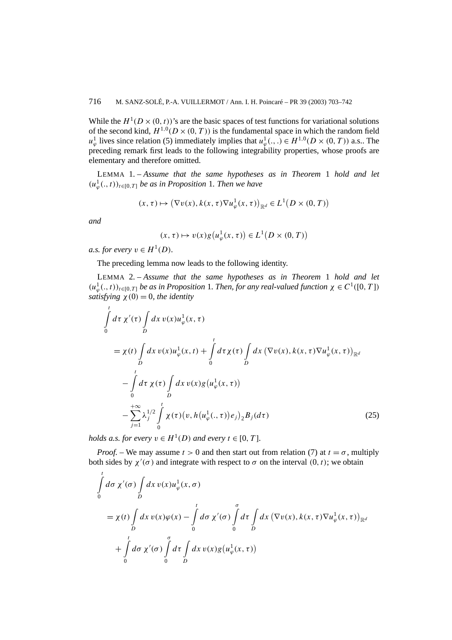While the  $H^1(D \times (0, t))$ 's are the basic spaces of test functions for variational solutions of the second kind,  $H^{1,0}(D\times(0,T))$  is the fundamental space in which the random field *u*<sup>1</sup><sub> $\varphi$ </sub> lives since relation (5) immediately implies that  $u^1_{\varphi}$ (...)  $\in H^{1,0}(D \times (0,T))$  a.s.. The preceding remark first leads to the following integrability properties, whose proofs are elementary and therefore omitted.

LEMMA 1. – *Assume that the same hypotheses as in Theorem* 1 *hold and let*  $(u^1_\varphi(., t))_{t \in [0,T]}$  *be as in Proposition* 1*. Then we have* 

$$
(x,\tau) \mapsto (\nabla v(x), k(x,\tau) \nabla u^1_{\varphi}(x,\tau))_{\mathbb{R}^d} \in L^1(D \times (0,T))
$$

*and*

 $(x, \tau) \mapsto v(x)g(u_{\varphi}^1(x, \tau)) \in L^1(D \times (0, T))$ 

*a.s. for every*  $v \in H^1(D)$ *.* 

The preceding lemma now leads to the following identity.

LEMMA 2. – *Assume that the same hypotheses as in Theorem* 1 *hold and let*  $(u^1_\varphi(\cdot,t))_{t\in[0,T]}$  *be as in Proposition* 1*. Then, for any real-valued function*  $\chi \in C^1([0,T])$ *satisfying*  $\chi(0) = 0$ *, the identity* 

$$
\int_{0}^{t} d\tau \chi'(\tau) \int_{D} dx \, v(x) u_{\varphi}^{1}(x, \tau) \n= \chi(t) \int_{D} dx \, v(x) u_{\varphi}^{1}(x, t) + \int_{0}^{t} d\tau \chi(\tau) \int_{D} dx \, (\nabla v(x), k(x, \tau) \nabla u_{\varphi}^{1}(x, \tau))_{\mathbb{R}^{d}} \n- \int_{0}^{t} d\tau \, \chi(\tau) \int_{D} dx \, v(x) g(u_{\varphi}^{1}(x, \tau)) \n- \sum_{j=1}^{+\infty} \lambda_{j}^{1/2} \int_{0}^{t} \chi(\tau) (v, h(u_{\varphi}^{1}(.,\tau)) e_{j})_{2} B_{j}(d\tau)
$$
\n(25)

*holds a.s. for every*  $v \in H^1(D)$  *and every*  $t \in [0, T]$ *.* 

*Proof.* – We may assume  $t > 0$  and then start out from relation (7) at  $t = \sigma$ , multiply both sides by  $\chi'(\sigma)$  and integrate with respect to  $\sigma$  on the interval  $(0, t)$ ; we obtain

$$
\int_{0}^{t} d\sigma \chi'(\sigma) \int_{D} dx \, v(x) u_{\varphi}^{1}(x, \sigma)
$$
\n
$$
= \chi(t) \int_{D} dx \, v(x) \varphi(x) - \int_{0}^{t} d\sigma \, \chi'(\sigma) \int_{0}^{\sigma} d\tau \int_{D} dx \, (\nabla v(x), k(x, \tau) \nabla u_{\varphi}^{1}(x, \tau))_{\mathbb{R}^{d}}
$$
\n
$$
+ \int_{0}^{t} d\sigma \, \chi'(\sigma) \int_{0}^{\sigma} d\tau \int_{D} dx \, v(x) g(u_{\varphi}^{1}(x, \tau))
$$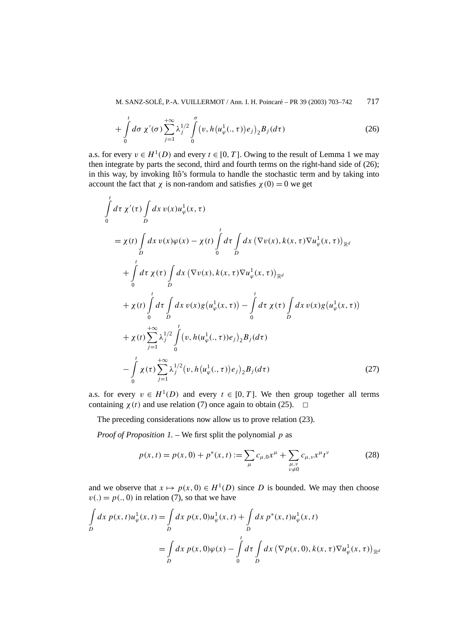M. SANZ-SOLÉ, P.-A. VUILLERMOT / Ann. I. H. Poincaré – PR 39 (2003) 703–742 717

$$
+\int_{0}^{t} d\sigma \chi'(\sigma) \sum_{j=1}^{+\infty} \lambda_j^{1/2} \int_{0}^{\sigma} (v, h(u^1_{\varphi}(.,\tau))e_j)_2 B_j(d\tau) \tag{26}
$$

a.s. for every  $v \in H^1(D)$  and every  $t \in [0, T]$ . Owing to the result of Lemma 1 we may then integrate by parts the second, third and fourth terms on the right-hand side of (26); in this way, by invoking Itô's formula to handle the stochastic term and by taking into account the fact that *χ* is non-random and satisfies  $\chi(0) = 0$  we get

$$
\int_{0}^{t} d\tau \chi'(\tau) \int_{D} dx \, v(x) u_{\varphi}^{1}(x, \tau)
$$
\n
$$
= \chi(t) \int_{D} dx \, v(x) \varphi(x) - \chi(t) \int_{0}^{t} d\tau \int_{D} dx \, (\nabla v(x), k(x, \tau) \nabla u_{\varphi}^{1}(x, \tau))_{\mathbb{R}^{d}}
$$
\n
$$
+ \int_{0}^{t} d\tau \chi(\tau) \int_{D} dx \, (\nabla v(x), k(x, \tau) \nabla u_{\varphi}^{1}(x, \tau))_{\mathbb{R}^{d}}
$$
\n
$$
+ \chi(t) \int_{0}^{t} d\tau \int_{D} dx \, v(x) g(u_{\varphi}^{1}(x, \tau)) - \int_{0}^{t} d\tau \chi(\tau) \int_{D} dx \, v(x) g(u_{\varphi}^{1}(x, \tau))
$$
\n
$$
+ \chi(t) \sum_{j=1}^{+\infty} \lambda_{j}^{1/2} \int_{0}^{t} (v, h(u_{\varphi}^{1}(.,\tau)) e_{j})_{2} B_{j}(d\tau)
$$
\n
$$
- \int_{0}^{t} \chi(\tau) \sum_{j=1}^{+\infty} \lambda_{j}^{1/2} (v, h(u_{\varphi}^{1}(.,\tau)) e_{j})_{2} B_{j}(d\tau) \qquad (27)
$$

a.s. for every  $v \in H^1(D)$  and every  $t \in [0, T]$ . We then group together all terms containing  $\chi(t)$  and use relation (7) once again to obtain (25).  $\Box$ 

The preceding considerations now allow us to prove relation (23).

*Proof of Proposition 1. –* We first split the polynomial *p* as

$$
p(x,t) = p(x,0) + p^*(x,t) := \sum_{\mu} c_{\mu,0} x^{\mu} + \sum_{\substack{\mu,\nu\\ \nu \neq 0}} c_{\mu,\nu} x^{\mu} t^{\nu}
$$
 (28)

and we observe that  $x \mapsto p(x, 0) \in H^1(D)$  since *D* is bounded. We may then choose  $v(.) = p(., 0)$  in relation (7), so that we have

$$
\int_{D} dx \, p(x, t) u_{\varphi}^{1}(x, t) = \int_{D} dx \, p(x, 0) u_{\varphi}^{1}(x, t) + \int_{D} dx \, p^{*}(x, t) u_{\varphi}^{1}(x, t)
$$
\n
$$
= \int_{D} dx \, p(x, 0) \varphi(x) - \int_{0}^{t} d\tau \int_{D} dx \, (\nabla p(x, 0), k(x, \tau) \nabla u_{\varphi}^{1}(x, \tau))_{\mathbb{R}^{d}}
$$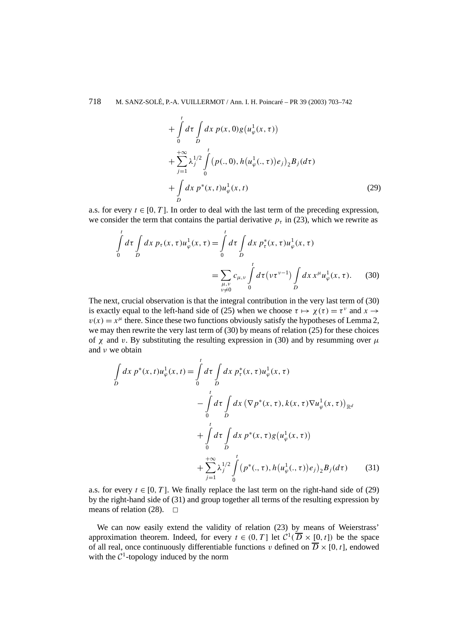$$
+\int_{0}^{t} d\tau \int_{D} dx \, p(x,0)g(u_{\varphi}^{1}(x,\tau)) + \sum_{j=1}^{+\infty} \lambda_{j}^{1/2} \int_{0}^{t} (p(.,0), h(u_{\varphi}^{1}(.,\tau))e_{j})_{2}B_{j}(d\tau) + \int_{D} dx \, p^{*}(x,t)u_{\varphi}^{1}(x,t)
$$
(29)

a.s. for every  $t \in [0, T]$ . In order to deal with the last term of the preceding expression, we consider the term that contains the partial derivative  $p<sub>\tau</sub>$  in (23), which we rewrite as

$$
\int_{0}^{t} d\tau \int_{D} dx \, p_{\tau}(x, \tau) u_{\varphi}^{1}(x, \tau) = \int_{0}^{t} d\tau \int_{D} dx \, p_{\tau}^{*}(x, \tau) u_{\varphi}^{1}(x, \tau)
$$
\n
$$
= \sum_{\substack{\mu, \nu \\ \nu \neq 0}} c_{\mu, \nu} \int_{0}^{t} d\tau \left(\nu \tau^{\nu-1}\right) \int_{D} dx \, x^{\mu} u_{\varphi}^{1}(x, \tau). \tag{30}
$$

The next, crucial observation is that the integral contribution in the very last term of (30) is exactly equal to the left-hand side of (25) when we choose  $\tau \mapsto \chi(\tau) = \tau^{\nu}$  and  $x \rightarrow \tau^{\nu}$  $v(x) = x^{\mu}$  there. Since these two functions obviously satisfy the hypotheses of Lemma 2, we may then rewrite the very last term of (30) by means of relation (25) for these choices of *χ* and *v*. By substituting the resulting expression in (30) and by resumming over  $\mu$ and *ν* we obtain

$$
\int_{D} dx \, p^*(x, t) u_{\varphi}^1(x, t) = \int_{0}^{t} d\tau \int_{D} dx \, p_{\tau}^*(x, \tau) u_{\varphi}^1(x, \tau) \n- \int_{0}^{t} d\tau \int_{D} dx \, (\nabla p^*(x, \tau), k(x, \tau) \nabla u_{\varphi}^1(x, \tau))_{\mathbb{R}^d} \n+ \int_{0}^{t} d\tau \int_{D} dx \, p^*(x, \tau) g(u_{\varphi}^1(x, \tau)) \n+ \sum_{j=1}^{+\infty} \lambda_j^{1/2} \int_{0}^{t} (p^*(., \tau), h(u_{\varphi}^1(., \tau)) e_j)_2 B_j(d\tau) \qquad (31)
$$

a.s. for every  $t \in [0, T]$ . We finally replace the last term on the right-hand side of (29) by the right-hand side of (31) and group together all terms of the resulting expression by means of relation (28).  $\Box$ 

We can now easily extend the validity of relation (23) by means of Weierstrass' approximation theorem. Indeed, for every  $t \in (0, T]$  let  $C^1(\overline{D} \times [0, t])$  be the space of all real, once continuously differentiable functions *v* defined on  $\overline{D} \times [0, t]$ , endowed with the  $C^1$ -topology induced by the norm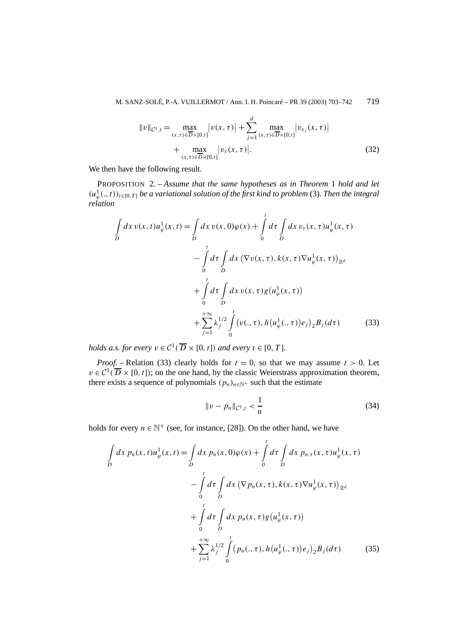$$
||v||_{\mathcal{C}^{1},t} = \max_{(x,\tau)\in\overline{D}\times[0,t]} |v(x,\tau)| + \sum_{j=1}^{d} \max_{(x,\tau)\in\overline{D}\times[0,t]} |v_{x_j}(x,\tau)| + \max_{(x,\tau)\in\overline{D}\times[0,t]} |v_{\tau}(x,\tau)|.
$$
\n(32)

We then have the following result.

PROPOSITION 2. – *Assume that the same hypotheses as in Theorem* 1 *hold and let*  $(u^1_\varphi(., t))_{t\in[0,T]}$  *be a variational solution of the first kind to problem* (3). Then the integral *relation*

$$
\int_{D} dx \, v(x, t) u_{\varphi}^{1}(x, t) = \int_{D} dx \, v(x, 0) \varphi(x) + \int_{0}^{t} d\tau \int_{D} dx \, v_{\tau}(x, \tau) u_{\varphi}^{1}(x, \tau)
$$
\n
$$
- \int_{0}^{t} d\tau \int_{D} dx \, (\nabla v(x, \tau), k(x, \tau) \nabla u_{\varphi}^{1}(x, \tau))_{\mathbb{R}^{d}}
$$
\n
$$
+ \int_{0}^{t} d\tau \int_{D} dx \, v(x, \tau) g(u_{\varphi}^{1}(x, \tau))
$$
\n
$$
+ \sum_{j=1}^{t} \lambda_{j}^{1/2} \int_{0}^{t} (v(., \tau), h(u_{\varphi}^{1}(., \tau)) e_{j})_{2} B_{j}(d\tau) \qquad (33)
$$

*holds a.s. for every*  $v \in C^1(\overline{D} \times [0, t])$  *and every*  $t \in [0, T]$ *.* 

*Proof.* – Relation (33) clearly holds for  $t = 0$ , so that we may assume  $t > 0$ . Let  $v \in C^1(\overline{D} \times [0, t])$ ; on the one hand, by the classic Weierstrass approximation theorem, there exists a sequence of polynomials  $(p_n)_{n \in \mathbb{N}^+}$  such that the estimate

$$
||v - p_n||_{\mathcal{C}^1, t} < \frac{1}{n} \tag{34}
$$

holds for every  $n \in \mathbb{N}^+$  (see, for instance, [28]). On the other hand, we have

$$
\int_{D} dx \, p_{n}(x, t) u_{\varphi}^{1}(x, t) = \int_{D} dx \, p_{n}(x, 0) \varphi(x) + \int_{0}^{t} d\tau \int_{D} dx \, p_{n, \tau}(x, \tau) u_{\varphi}^{1}(x, \tau) \n- \int_{0}^{t} d\tau \int_{D} dx \, (\nabla p_{n}(x, \tau), k(x, \tau) \nabla u_{\varphi}^{1}(x, \tau))_{\mathbb{R}^{d}} \n+ \int_{0}^{t} d\tau \int_{D} dx \, p_{n}(x, \tau) g(u_{\varphi}^{1}(x, \tau)) \n+ \sum_{j=1}^{+\infty} \lambda_{j}^{1/2} \int_{0}^{t} (p_{n}(., \tau), h(u_{\varphi}^{1}(., \tau)) e_{j})_{2} B_{j}(d\tau) \qquad (35)
$$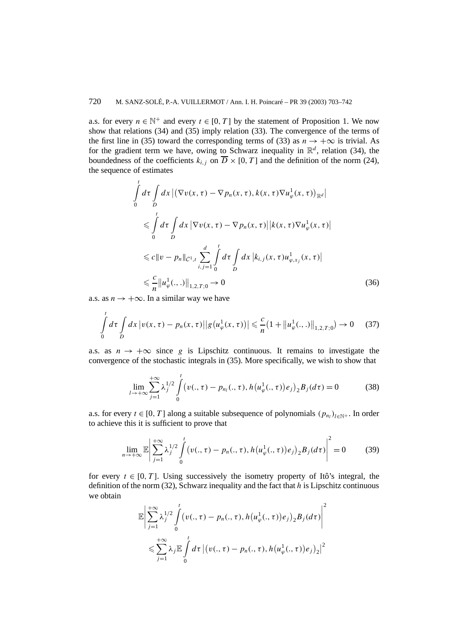a.s. for every  $n \in \mathbb{N}^+$  and every  $t \in [0, T]$  by the statement of Proposition 1. We now show that relations (34) and (35) imply relation (33). The convergence of the terms of the first line in (35) toward the corresponding terms of (33) as  $n \to +\infty$  is trivial. As for the gradient term we have, owing to Schwarz inequality in  $\mathbb{R}^d$ , relation (34), the boundedness of the coefficients  $k_i$ , on  $\overline{D} \times [0, T]$  and the definition of the norm (24), the sequence of estimates

$$
\int_{0}^{t} d\tau \int_{D} dx \left| (\nabla v(x, \tau) - \nabla p_{n}(x, \tau), k(x, \tau) \nabla u_{\varphi}^{1}(x, \tau))_{\mathbb{R}^{d}} \right|
$$
\n
$$
\leq \int_{0}^{t} d\tau \int_{D} dx \left| \nabla v(x, \tau) - \nabla p_{n}(x, \tau) \right| |k(x, \tau) \nabla u_{\varphi}^{1}(x, \tau)|
$$
\n
$$
\leq c \|v - p_{n}\|_{C^{1}, t} \sum_{i, j=1}^{d} \int_{0}^{t} d\tau \int_{D} dx \left| k_{i, j}(x, \tau) u_{\varphi, x_{j}}^{1}(x, \tau) \right|
$$
\n
$$
\leq \frac{c}{n} \|u_{\varphi}^{1}(., .) \|_{1, 2, T; 0} \to 0
$$
\n(36)

a.s. as  $n \rightarrow +\infty$ . In a similar way we have

$$
\int_{0}^{t} d\tau \int_{D} dx \, |v(x,\tau) - p_n(x,\tau)||g(u_{\varphi}^1(x,\tau))| \leq \frac{c}{n} (1 + \|u_{\varphi}^1(.,.)\|_{1,2,T;0}) \to 0 \quad (37)
$$

a.s. as  $n \to +\infty$  since g is Lipschitz continuous. It remains to investigate the convergence of the stochastic integrals in (35). More specifically, we wish to show that

$$
\lim_{l \to +\infty} \sum_{j=1}^{+\infty} \lambda_j^{1/2} \int_0^t \left(v(., \tau) - p_{n_l}(., \tau), h\left(u^1_{\varphi}(., \tau)\right) e_j\right)_2 B_j(d\tau) = 0 \tag{38}
$$

a.s. for every  $t \in [0, T]$  along a suitable subsequence of polynomials  $(p_{n_l})_{l \in \mathbb{N}^+}$ . In order to achieve this it is sufficient to prove that

$$
\lim_{n \to +\infty} \mathbb{E} \left| \sum_{j=1}^{+\infty} \lambda_j^{1/2} \int_0^t \left( v(., \tau) - p_n(., \tau), h(u^1_\varphi(., \tau)) e_j \right)_2 B_j(d\tau) \right|^2 = 0 \tag{39}
$$

for every  $t \in [0, T]$ . Using successively the isometry property of Itô's integral, the definition of the norm (32), Schwarz inequality and the fact that *h* is Lipschitz continuous we obtain

$$
\mathbb{E}\left|\sum_{j=1}^{+\infty}\lambda_j^{1/2}\int\limits_0^t(v(.,\tau)-p_n(.,\tau),h(u^1_\varphi(.,\tau))e_j)_2B_j(d\tau)\right|^2
$$
  

$$
\leqslant \sum_{j=1}^{+\infty}\lambda_j\mathbb{E}\int\limits_0^t d\tau\left|\left(v(.,\tau)-p_n(.,\tau),h(u^1_\varphi(.,\tau))e_j\right)_2\right|^2
$$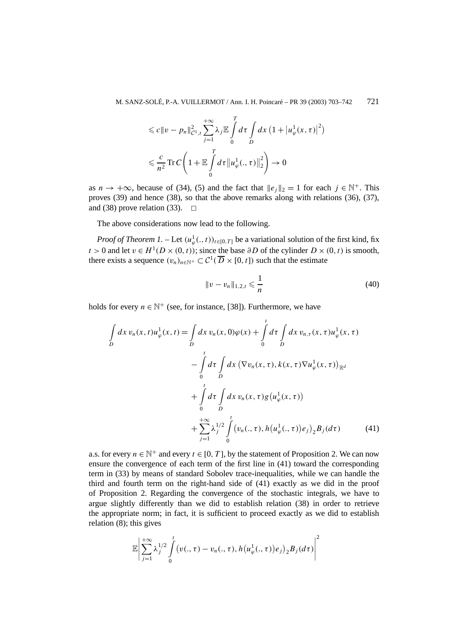$$
\leq c \|v - p_n\|_{\mathcal{C}^1, t}^2 \sum_{j=1}^{+\infty} \lambda_j \mathbb{E} \int_0^T d\tau \int_D dx \left(1 + \left|u_{\varphi}^1(x, \tau)\right|^2\right)
$$
  

$$
\leqslant \frac{c}{n^2} \operatorname{Tr} C \left(1 + \mathbb{E} \int_0^T d\tau \left\|u_{\varphi}^1(., \tau)\right\|_2^2\right) \to 0
$$

as  $n \to +\infty$ , because of (34), (5) and the fact that  $||e_i||_2 = 1$  for each  $i \in \mathbb{N}^+$ . This proves (39) and hence (38), so that the above remarks along with relations (36), (37), and (38) prove relation (33).  $\Box$ 

The above considerations now lead to the following.

*Proof of Theorem 1.* – Let  $(u^1_\varphi(\cdot,t))_{t\in[0,T]}$  be a variational solution of the first kind, fix *t* > 0 and let *v* ∈ *H*<sup>1</sup>(*D* × (0*, t*)); since the base  $\partial$ *D* of the cylinder *D* × (0*, t*) is smooth, there exists a sequence  $(v_n)_{n \in \mathbb{N}^+} \subset C^1(\overline{D} \times [0, t])$  such that the estimate

$$
||v - v_n||_{1,2,t} \leqslant \frac{1}{n}
$$
\n(40)

holds for every  $n \in \mathbb{N}^+$  (see, for instance, [38]). Furthermore, we have

$$
\int_{D} dx \, v_{n}(x, t) u_{\varphi}^{1}(x, t) = \int_{D} dx \, v_{n}(x, 0) \varphi(x) + \int_{0}^{t} d\tau \int_{D} dx \, v_{n, \tau}(x, \tau) u_{\varphi}^{1}(x, \tau) \n- \int_{0}^{t} d\tau \int_{D} dx \, (\nabla v_{n}(x, \tau), k(x, \tau) \nabla u_{\varphi}^{1}(x, \tau))_{\mathbb{R}^{d}} \n+ \int_{0}^{t} d\tau \int_{D} dx \, v_{n}(x, \tau) g(u_{\varphi}^{1}(x, \tau)) \n+ \sum_{j=1}^{t} \lambda_{j}^{1/2} \int_{0}^{t} (v_{n}(., \tau), h(u_{\varphi}^{1}(., \tau)) e_{j})_{2} B_{j}(d\tau)
$$
\n(41)

a.s. for every  $n \in \mathbb{N}^+$  and every  $t \in [0, T]$ , by the statement of Proposition 2. We can now ensure the convergence of each term of the first line in (41) toward the corresponding term in (33) by means of standard Sobolev trace-inequalities, while we can handle the third and fourth term on the right-hand side of (41) exactly as we did in the proof of Proposition 2. Regarding the convergence of the stochastic integrals, we have to argue slightly differently than we did to establish relation (38) in order to retrieve the appropriate norm; in fact, it is sufficient to proceed exactly as we did to establish relation (8); this gives

$$
\mathbb{E}\left|\sum_{j=1}^{+\infty}\lambda_j^{1/2}\int\limits_0^t\big(v(.,\tau)-v_n(.,\tau),h\big(u_\varphi^1(.,\tau)\big)e_j\big)_2B_j(d\tau)\right|^2
$$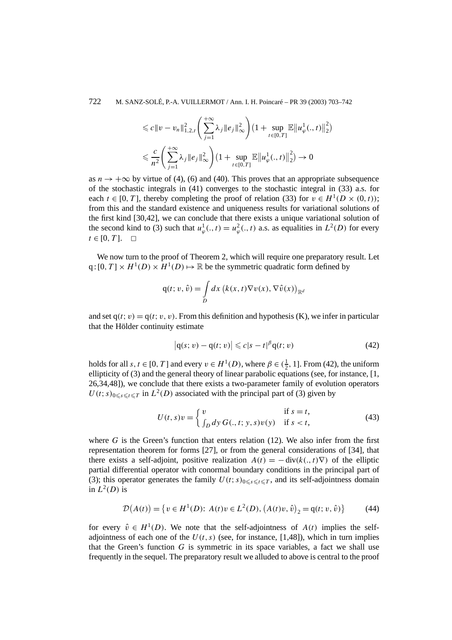$$
\leq c \|v - v_n\|_{1,2,t}^2 \left( \sum_{j=1}^{+\infty} \lambda_j \|e_j\|_{\infty}^2 \right) \left(1 + \sup_{t \in [0,T]} \mathbb{E} \|u_{\varphi}^1(.,t)\|_2^2 \right)
$$
  

$$
\leq \frac{c}{n^2} \left( \sum_{j=1}^{+\infty} \lambda_j \|e_j\|_{\infty}^2 \right) \left(1 + \sup_{t \in [0,T]} \mathbb{E} \|u_{\varphi}^1(.,t)\|_2^2 \right) \to 0
$$

as  $n \to +\infty$  by virtue of (4), (6) and (40). This proves that an appropriate subsequence of the stochastic integrals in  $(41)$  converges to the stochastic integral in  $(33)$  a.s. for each  $t \in [0, T]$ , thereby completing the proof of relation (33) for  $v \in H^1(D \times (0, t))$ ; from this and the standard existence and uniqueness results for variational solutions of the first kind [30,42], we can conclude that there exists a unique variational solution of the second kind to (3) such that  $u^1_{\varphi}(.,t) = u^2_{\varphi}(.,t)$  a.s. as equalities in  $L^2(D)$  for every  $t \in [0, T]$ . □

We now turn to the proof of Theorem 2, which will require one preparatory result. Let  $q:[0, T] \times H^1(D) \times H^1(D) \mapsto \mathbb{R}$  be the symmetric quadratic form defined by

$$
q(t; v, \hat{v}) = \int_{D} dx \left( k(x, t) \nabla v(x), \nabla \hat{v}(x) \right)_{\mathbb{R}^d}
$$

and set  $q(t; v) = q(t; v, v)$ . From this definition and hypothesis (K), we infer in particular that the Hölder continuity estimate

$$
\left| \mathbf{q}(s;v) - \mathbf{q}(t;v) \right| \leqslant c|s-t|^{\beta} \mathbf{q}(t;v) \tag{42}
$$

holds for all *s*, *t*  $\in$  [0, *T*] and every  $v \in H^1(D)$ , where  $\beta \in (\frac{1}{2}, 1]$ . From (42), the uniform ellipticity of (3) and the general theory of linear parabolic equations (see, for instance, [1, 26,34,48]), we conclude that there exists a two-parameter family of evolution operators  $U(t; s)_{0 \leq s \leq t \leq T}$  in  $L^2(D)$  associated with the principal part of (3) given by

$$
U(t,s)v = \begin{cases} v & \text{if } s = t, \\ \int_D dy \, G(.,t; y, s)v(y) & \text{if } s < t, \end{cases}
$$
 (43)

where  $G$  is the Green's function that enters relation  $(12)$ . We also infer from the first representation theorem for forms [27], or from the general considerations of [34], that there exists a self-adjoint, positive realization  $A(t) = -\text{div}(k(., t)\nabla)$  of the elliptic partial differential operator with conormal boundary conditions in the principal part of (3); this operator generates the family  $U(t; s)_{0 \le s \le t \le T}$ , and its self-adjointness domain in  $L^2(D)$  is

$$
\mathcal{D}(A(t)) = \{ v \in H^1(D): A(t)v \in L^2(D), (A(t)v, \hat{v})_2 = q(t; v, \hat{v}) \}
$$
(44)

for every  $\hat{v} \in H^1(D)$ . We note that the self-adjointness of  $A(t)$  implies the selfadjointness of each one of the  $U(t, s)$  (see, for instance, [1,48]), which in turn implies that the Green's function *G* is symmetric in its space variables, a fact we shall use frequently in the sequel. The preparatory result we alluded to above is central to the proof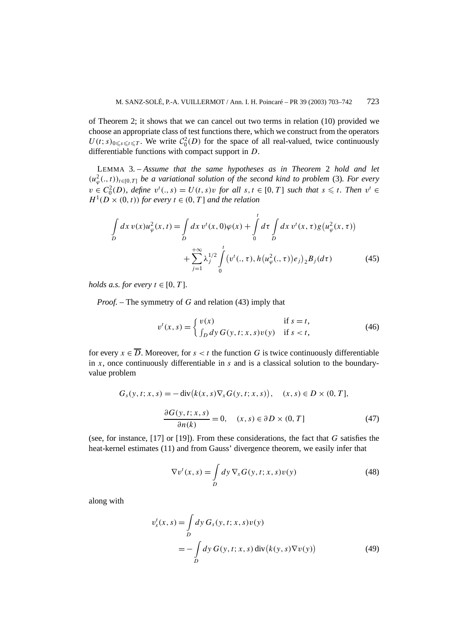of Theorem 2; it shows that we can cancel out two terms in relation (10) provided we choose an appropriate class of test functions there, which we construct from the operators  $U(t; s)_{0 \leq s \leq t \leq T}$ . We write  $C_0^2(D)$  for the space of all real-valued, twice continuously differentiable functions with compact support in *D*.

LEMMA 3. – *Assume that the same hypotheses as in Theorem* 2 *hold and let*  $(u^2_{\varphi}(., t))_{t \in [0,T]}$  *be a variational solution of the second kind to problem* (3)*. For every*  $v \in C_0^2(D)$ *, define*  $v^t(., s) = U(t, s)v$  *for all*  $s, t \in [0, T]$  *such that*  $s \leq t$ *. Then*  $v^t \in$  $H^1(D \times (0,t))$  *for every*  $t \in (0,T]$  *and the relation* 

$$
\int_{D} dx \, v(x) u_{\varphi}^{2}(x, t) = \int_{D} dx \, v^{t}(x, 0) \varphi(x) + \int_{0}^{t} d\tau \int_{D} dx \, v^{t}(x, \tau) g(u_{\varphi}^{2}(x, \tau)) + \sum_{j=1}^{+\infty} \lambda_{j}^{1/2} \int_{0}^{t} (v^{t}(., \tau), h(u_{\varphi}^{2}(., \tau)) e_{j})_{2} B_{j}(d\tau)
$$
\n(45)

*holds a.s. for every*  $t \in [0, T]$ *.* 

*Proof. –* The symmetry of *G* and relation (43) imply that

$$
v^{t}(x, s) = \begin{cases} v(x) & \text{if } s = t, \\ \int_{D} dy \, G(y, t; x, s) v(y) & \text{if } s < t, \end{cases}
$$
 (46)

for every  $x \in \overline{D}$ . Moreover, for  $s < t$  the function G is twice continuously differentiable in  $x$ , once continuously differentiable in  $s$  and is a classical solution to the boundaryvalue problem

$$
G_s(y, t; x, s) = -\operatorname{div}(k(x, s)\nabla_x G(y, t; x, s)), \quad (x, s) \in D \times (0, T],
$$

$$
\frac{\partial G(y, t; x, s)}{\partial n(k)} = 0, \quad (x, s) \in \partial D \times (0, T]
$$
(47)

(see, for instance, [17] or [19]). From these considerations, the fact that *G* satisfies the heat-kernel estimates (11) and from Gauss' divergence theorem, we easily infer that

$$
\nabla v^t(x,s) = \int_D dy \, \nabla_x G(y,t;x,s) v(y)
$$
\n(48)

along with

$$
v_s^t(x, s) = \int_D dy \, G_s(y, t; x, s) v(y)
$$
  
= 
$$
- \int_D dy \, G(y, t; x, s) \operatorname{div} (k(y, s) \nabla v(y))
$$
(49)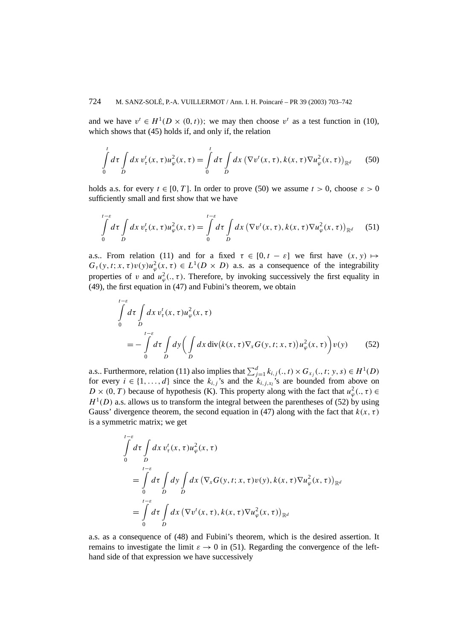and we have  $v^t \in H^1(D \times (0, t))$ ; we may then choose  $v^t$  as a test function in (10), which shows that (45) holds if, and only if, the relation

$$
\int_{0}^{t} d\tau \int_{D} dx \, v_{\tau}^{t}(x,\tau) u_{\varphi}^{2}(x,\tau) = \int_{0}^{t} d\tau \int_{D} dx \left( \nabla v^{t}(x,\tau), k(x,\tau) \nabla u_{\varphi}^{2}(x,\tau) \right)_{\mathbb{R}^{d}} \tag{50}
$$

holds a.s. for every  $t \in [0, T]$ . In order to prove (50) we assume  $t > 0$ , choose  $\varepsilon > 0$ sufficiently small and first show that we have

$$
\int_{0}^{t-\varepsilon} d\tau \int_{D} dx \, v_{\tau}^{t}(x,\tau) u_{\varphi}^{2}(x,\tau) = \int_{0}^{t-\varepsilon} d\tau \int_{D} dx \left( \nabla v^{t}(x,\tau), k(x,\tau) \nabla u_{\varphi}^{2}(x,\tau) \right)_{\mathbb{R}^{d}} \tag{51}
$$

a.s.. From relation (11) and for a fixed  $\tau \in [0, t - \varepsilon]$  we first have  $(x, y) \mapsto$  $G_{\tau}(y, t; x, \tau)v(y)u_{\varphi}^{2}(x, \tau) \in L^{1}(D \times D)$  a.s. as a consequence of the integrability properties of *v* and  $u^2_{\varphi}(., \tau)$ . Therefore, by invoking successively the first equality in (49), the first equation in (47) and Fubini's theorem, we obtain

$$
\int_{0}^{t-\varepsilon} d\tau \int_{D} dx \, v_{\tau}^{t}(x,\tau) u_{\varphi}^{2}(x,\tau)
$$
\n
$$
= -\int_{0}^{t-\varepsilon} d\tau \int_{D} dy \Big( \int_{D} dx \, \text{div}\big(k(x,\tau) \nabla_{x} G(y,t;x,\tau)\big) u_{\varphi}^{2}(x,\tau) \Big) v(y) \qquad (52)
$$

a.s.. Furthermore, relation (11) also implies that  $\sum_{j=1}^{d} k_{i,j}(.,t) \times G_{x_j}(.,t; y, s) \in H^1(D)$ for every  $i \in \{1, ..., d\}$  since the  $k_{i,j}$ 's and the  $k_{i,j,x_i}$ 's are bounded from above on  $D \times (0, T)$  because of hypothesis (K). This property along with the fact that  $u^2_{\varphi}(., \tau) \in$  $H<sup>1</sup>(D)$  a.s. allows us to transform the integral between the parentheses of (52) by using Gauss' divergence theorem, the second equation in (47) along with the fact that  $k(x, \tau)$ is a symmetric matrix; we get

$$
\int_{0}^{t-\varepsilon} d\tau \int_{D} dx \, v_{\tau}^{t}(x,\tau) u_{\varphi}^{2}(x,\tau)
$$
\n
$$
= \int_{0}^{t-\varepsilon} d\tau \int_{D} dy \int_{D} dx \, (\nabla_{x} G(y,t;x,\tau) v(y), k(x,\tau) \nabla u_{\varphi}^{2}(x,\tau))_{\mathbb{R}^{d}}
$$
\n
$$
= \int_{0}^{t-\varepsilon} d\tau \int_{D} dx \, (\nabla v^{t}(x,\tau), k(x,\tau) \nabla u_{\varphi}^{2}(x,\tau))_{\mathbb{R}^{d}}
$$

a.s. as a consequence of (48) and Fubini's theorem, which is the desired assertion. It remains to investigate the limit  $\varepsilon \to 0$  in (51). Regarding the convergence of the lefthand side of that expression we have successively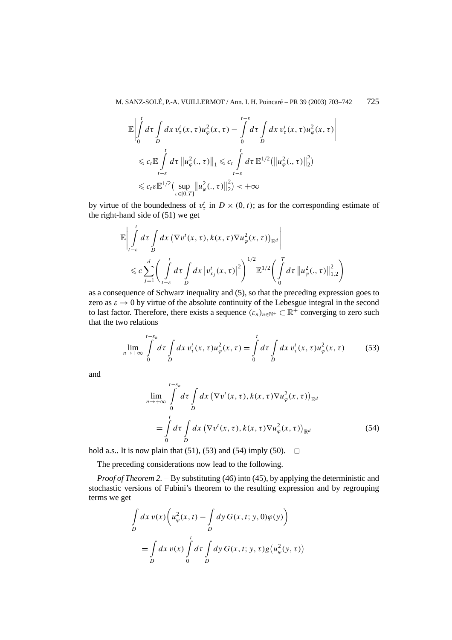$$
\mathbb{E}\left|\int_{0}^{t} d\tau \int_{D} dx \, v_{\tau}^{t}(x,\tau) u_{\varphi}^{2}(x,\tau) - \int_{0}^{t-\varepsilon} d\tau \int_{D} dx \, v_{\tau}^{t}(x,\tau) u_{\varphi}^{2}(x,\tau)\right|
$$
  

$$
\leq c_{t} \mathbb{E} \int_{t-\varepsilon}^{t} d\tau \left\|u_{\varphi}^{2}(.,\tau)\right\|_{1} \leq c_{t} \int_{t-\varepsilon}^{t} d\tau \mathbb{E}^{1/2}(\left\|u_{\varphi}^{2}(.,\tau)\right\|_{2}^{2})
$$
  

$$
\leq c_{t} \mathbb{E}^{1/2}(\sup_{\tau\in[0,T]} \left\|u_{\varphi}^{2}(.,\tau)\right\|_{2}^{2}) < +\infty
$$

by virtue of the boundedness of  $v^t$  in  $D \times (0, t)$ ; as for the corresponding estimate of the right-hand side of (51) we get

$$
\mathbb{E}\left|\int_{t-\varepsilon}^{t} d\tau \int_{D} dx \left(\nabla v^{t}(x,\tau), k(x,\tau) \nabla u_{\varphi}^{2}(x,\tau)\right)_{\mathbb{R}^{d}}\right|
$$
\n
$$
\leq c \sum_{j=1}^{d} \left(\int_{t-\varepsilon}^{t} d\tau \int_{D} dx \left|v_{x_{j}}^{t}(x,\tau)\right|^{2}\right)^{1/2} \mathbb{E}^{1/2}\left(\int_{0}^{T} d\tau \left\|u_{\varphi}^{2}(.,\tau)\right\|_{1,2}^{2}\right)
$$

as a consequence of Schwarz inequality and (5), so that the preceding expression goes to zero as  $\varepsilon \to 0$  by virtue of the absolute continuity of the Lebesgue integral in the second to last factor. Therefore, there exists a sequence  $(\varepsilon_n)_{n \in \mathbb{N}^+} \subset \mathbb{R}^+$  converging to zero such that the two relations

$$
\lim_{n \to +\infty} \int_{0}^{t-\varepsilon_n} d\tau \int_{D} dx \, v_{\tau}^t(x,\tau) u_{\varphi}^2(x,\tau) = \int_{0}^{t} d\tau \int_{D} dx \, v_{\tau}^t(x,\tau) u_{\varphi}^2(x,\tau) \tag{53}
$$

and

$$
\lim_{n \to +\infty} \int_{0}^{t-\varepsilon_n} d\tau \int_{D} dx \left( \nabla v^t(x,\tau), k(x,\tau) \nabla u^2_{\varphi}(x,\tau) \right)_{\mathbb{R}^d}
$$
\n
$$
= \int_{0}^{t} d\tau \int_{D} dx \left( \nabla v^t(x,\tau), k(x,\tau) \nabla u^2_{\varphi}(x,\tau) \right)_{\mathbb{R}^d}
$$
\n(54)

hold a.s.. It is now plain that  $(51)$ ,  $(53)$  and  $(54)$  imply  $(50)$ .  $\Box$ 

The preceding considerations now lead to the following.

*Proof of Theorem 2. – By substituting (46) into (45), by applying the deterministic and* stochastic versions of Fubini's theorem to the resulting expression and by regrouping terms we get

$$
\int_{D} dx \, v(x) \left( u_{\varphi}^{2}(x, t) - \int_{D} dy \, G(x, t; y, 0) \varphi(y) \right)
$$
\n
$$
= \int_{D} dx \, v(x) \int_{0}^{t} d\tau \int_{D} dy \, G(x, t; y, \tau) g(u_{\varphi}^{2}(y, \tau))
$$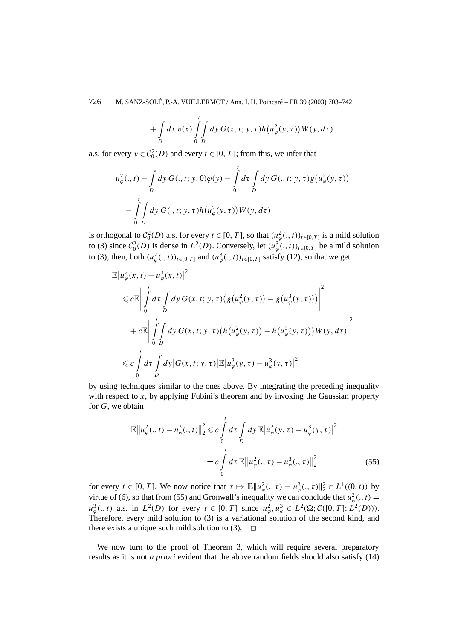726 M. SANZ-SOLÉ, P.-A. VUILLERMOT / Ann. I. H. Poincaré – PR 39 (2003) 703–742

$$
+\int\limits_{D}dx\,v(x)\int\limits_{0}^{t}\int\limits_{D}dy\,G(x,t;y,\tau)h\big(u_{\varphi}^{2}(y,\tau)\big)W(y,d\tau)
$$

a.s. for every  $v \in C_0^2(D)$  and every  $t \in [0, T]$ ; from this, we infer that

$$
u_{\varphi}^{2}(. ,t) - \int_{D} dy \, G(.,t; y, 0) \varphi(y) - \int_{0}^{t} d\tau \int_{D} dy \, G(.,t; y, \tau) g(u_{\varphi}^{2}(y, \tau)) - \int_{0}^{t} \int_{D} dy \, G(.,t; y, \tau) h(u_{\varphi}^{2}(y, \tau)) W(y, d\tau)
$$

is orthogonal to  $C_0^2(D)$  a.s. for every  $t \in [0, T]$ , so that  $(u_\varphi^2(., t))_{t \in [0, T]}$  is a mild solution to (3) since  $C_0^2(D)$  is dense in  $L^2(D)$ . Conversely, let  $(u^3_\varphi(.,t))_{t\in[0,T]}$  be a mild solution to (3); then, both  $(u^2_{\varphi}(., t))_{t \in [0,T]}$  and  $(u^3_{\varphi}(., t))_{t \in [0,T]}$  satisfy (12), so that we get

$$
\mathbb{E}|u_{\varphi}^{2}(x,t) - u_{\varphi}^{3}(x,t)|^{2}
$$
\n
$$
\leq c \mathbb{E} \left| \int_{0}^{t} d\tau \int_{D} dy \, G(x,t; y, \tau) \big(g(u_{\varphi}^{2}(y,\tau)) - g(u_{\varphi}^{3}(y,\tau))\big) \right|^{2}
$$
\n
$$
+ c \mathbb{E} \left| \int_{0}^{t} \int_{D} dy \, G(x,t; y, \tau) \big(h(u_{\varphi}^{2}(y,\tau)) - h(u_{\varphi}^{3}(y,\tau))\big) W(y, d\tau) \right|^{2}
$$
\n
$$
\leq c \int_{0}^{t} d\tau \int_{D} dy \big| G(x,t; y, \tau) \big| \mathbb{E} |u_{\varphi}^{2}(y,\tau) - u_{\varphi}^{3}(y,\tau) \big|^{2}
$$

by using techniques similar to the ones above. By integrating the preceding inequality with respect to *x*, by applying Fubini's theorem and by invoking the Gaussian property for *G*, we obtain

$$
\mathbb{E}\|u_{\varphi}^{2}(.,t) - u_{\varphi}^{3}(.,t)\|_{2}^{2} \leq c \int_{0}^{t} d\tau \int_{D} dy \, \mathbb{E}\left|u_{\varphi}^{2}(y,\tau) - u_{\varphi}^{3}(y,\tau)\right|^{2}
$$
\n
$$
= c \int_{0}^{t} d\tau \, \mathbb{E}\left\|u_{\varphi}^{2}(.,\tau) - u_{\varphi}^{3}(.,\tau)\right\|_{2}^{2} \tag{55}
$$

for every  $t \in [0, T]$ . We now notice that  $\tau \mapsto \mathbb{E} \|u^2_{\varphi}(., \tau) - u^3_{\varphi}(., \tau) \|_2^2 \in L^1((0, t))$  by virtue of (6), so that from (55) and Gronwall's inequality we can conclude that  $u^2_{\varphi}(., t) =$  $u_{\varphi}^{3}(. , t)$  a.s. in  $L^{2}(D)$  for every  $t \in [0, T]$  since  $u_{\varphi}^{2}, u_{\varphi}^{3} \in L^{2}(\Omega; \mathcal{C}([0, T]; L^{2}(D))).$ Therefore, every mild solution to (3) is a variational solution of the second kind, and there exists a unique such mild solution to (3).  $\Box$ 

We now turn to the proof of Theorem 3, which will require several preparatory results as it is not *a priori* evident that the above random fields should also satisfy (14)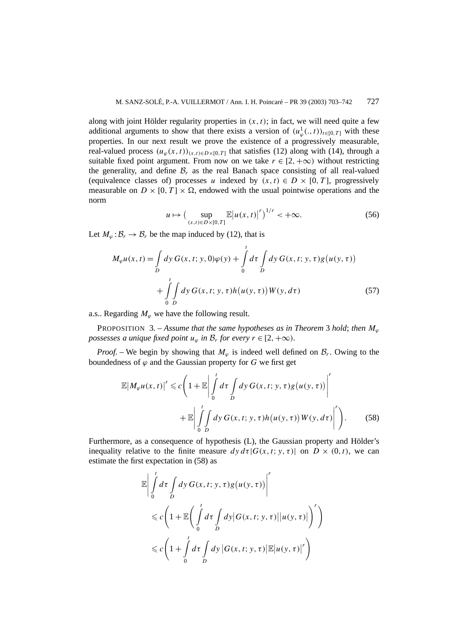along with joint Hölder regularity properties in  $(x, t)$ ; in fact, we will need quite a few additional arguments to show that there exists a version of  $(u^1_\varphi(.,t))_{t\in[0,T]}$  with these properties. In our next result we prove the existence of a progressively measurable, real-valued process  $(u_{\varphi}(x, t))_{(x, t) \in D \times [0, T]}$  that satisfies (12) along with (14), through a suitable fixed point argument. From now on we take  $r \in [2, +\infty)$  without restricting the generality, and define  $\mathcal{B}_r$  as the real Banach space consisting of all real-valued (equivalence classes of) processes *u* indexed by  $(x, t) \in D \times [0, T]$ , progressively measurable on  $D \times [0, T] \times \Omega$ , endowed with the usual pointwise operations and the norm

$$
u \mapsto \left(\sup_{(x,t)\in D\times[0,T]} \mathbb{E}\left|u(x,t)\right|^r\right)^{1/r} < +\infty. \tag{56}
$$

Let  $M_{\varphi}$ :  $\mathcal{B}_r \to \mathcal{B}_r$  be the map induced by (12), that is

$$
M_{\varphi}u(x,t) = \int_{D} dy \, G(x,t; y,0)\varphi(y) + \int_{0}^{t} d\tau \int_{D} dy \, G(x,t; y,\tau)g(u(y,\tau)) + \int_{0}^{t} \int_{D} dy \, G(x,t; y,\tau)h(u(y,\tau))W(y,d\tau)
$$
 (57)

a.s.. Regarding  $M_{\varphi}$  we have the following result.

PROPOSITION 3. – Assume that the same hypotheses as in Theorem 3 hold; then  $M_{\varphi}$ *possesses a unique fixed point*  $u_{\varphi}$  *in*  $\mathcal{B}_r$  *for every*  $r \in [2, +\infty)$ *.* 

*Proof.* – We begin by showing that  $M_{\varphi}$  is indeed well defined on  $\mathcal{B}_r$ . Owing to the boundedness of  $\varphi$  and the Gaussian property for *G* we first get

$$
\mathbb{E}\left|M_{\varphi}u(x,t)\right|^{r} \leq c\left(1+\mathbb{E}\left|\int_{0}^{t} d\tau \int_{D} dy \, G(x,t;y,\tau)g(u(y,\tau))\right|^{r} + \mathbb{E}\left|\int_{0}^{t} \int_{D} dy \, G(x,t;y,\tau)h(u(y,\tau))W(y,d\tau)\right|^{r}\right).
$$
 (58)

Furthermore, as a consequence of hypothesis (L), the Gaussian property and Hölder's inequality relative to the finite measure  $dy d\tau |G(x, t; y, \tau)|$  on  $D \times (0, t)$ , we can estimate the first expectation in (58) as

$$
\mathbb{E}\left|\int_{0}^{t} d\tau \int_{D} dy \, G(x, t; y, \tau)g(u(y, \tau))\right|^{r}
$$
  
\$\leqslant c\left(1+\mathbb{E}\left(\int\_{0}^{t} d\tau \int\_{D} dy |G(x, t; y, \tau)||u(y, \tau)|\right)^{r}\right)\$  
\$\leqslant c\left(1+\int\_{0}^{t} d\tau \int\_{D} dy |G(x, t; y, \tau)||E|u(y, \tau)|^{r}\right)\$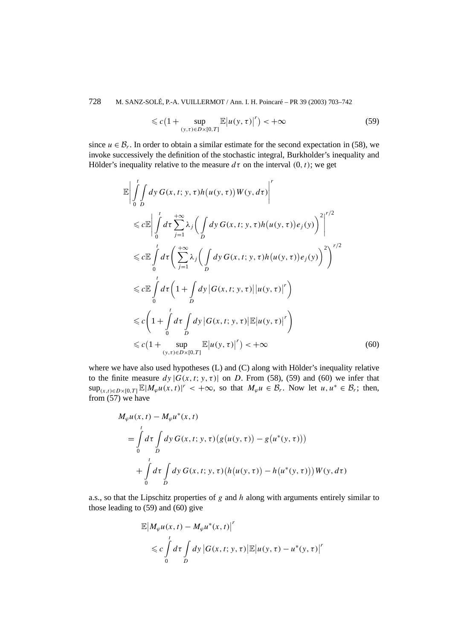728 M. SANZ-SOLÉ, P.-A. VUILLERMOT / Ann. I. H. Poincaré – PR 39 (2003) 703–742

$$
\leqslant c\left(1+\sup_{(y,\tau)\in D\times[0,T]}\mathbb{E}\big|u(y,\tau)\big|^r\right)<+\infty\tag{59}
$$

since  $u \in \mathcal{B}_r$ . In order to obtain a similar estimate for the second expectation in (58), we invoke successively the definition of the stochastic integral, Burkholder's inequality and Hölder's inequality relative to the measure  $d\tau$  on the interval  $(0, t)$ ; we get

$$
\mathbb{E}\left|\int_{0}^{t}\int_{D}dy\,G(x,t;y,\tau)h(u(y,\tau))W(y,d\tau)\right|^{r}
$$
\n
$$
\leq c\mathbb{E}\left|\int_{0}^{t}d\tau\sum_{j=1}^{+\infty}\lambda_{j}\left(\int_{D}dy\,G(x,t;y,\tau)h(u(y,\tau))e_{j}(y)\right)^{2}\right|^{r/2}
$$
\n
$$
\leq c\mathbb{E}\int_{0}^{t}d\tau\left(\sum_{j=1}^{+\infty}\lambda_{j}\left(\int_{D}dy\,G(x,t;y,\tau)h(u(y,\tau))e_{j}(y)\right)^{2}\right)^{r/2}
$$
\n
$$
\leq c\mathbb{E}\int_{0}^{t}d\tau\left(1+\int_{D}dy\left|G(x,t;y,\tau)\right|u(y,\tau)\right|^{r}\right)
$$
\n
$$
\leq c\left(1+\int_{0}^{t}d\tau\int_{D}dy\left|G(x,t;y,\tau)\right|\mathbb{E}|u(y,\tau)\right|^{r}\right)
$$
\n
$$
\leq c\left(1+\sup_{(y,\tau)\in D\times[0,T]}\mathbb{E}|u(y,\tau)|^{r}\right) < +\infty
$$
\n(60)

where we have also used hypotheses (L) and (C) along with Hölder's inequality relative to the finite measure  $dy |G(x, t; y, \tau)|$  on *D*. From (58), (59) and (60) we infer that  $\sup_{(x,t)\in D\times[0,T]}\mathbb{E}[M_{\varphi}u(x,t)|^r < +\infty$ , so that  $M_{\varphi}u \in \mathcal{B}_r$ . Now let  $u, u^* \in \mathcal{B}_r$ ; then, from (57) we have

$$
M_{\varphi}u(x, t) - M_{\varphi}u^{*}(x, t)
$$
  
=  $\int_{0}^{t} d\tau \int_{D} dy G(x, t; y, \tau) (g(u(y, \tau)) - g(u^{*}(y, \tau)))$   
+  $\int_{0}^{t} d\tau \int_{D} dy G(x, t; y, \tau) (h(u(y, \tau)) - h(u^{*}(y, \tau))) W(y, d\tau)$ 

a.s., so that the Lipschitz properties of *g* and *h* along with arguments entirely similar to those leading to (59) and (60) give

$$
\mathbb{E}\left|M_{\varphi}u(x,t) - M_{\varphi}u^*(x,t)\right|^r
$$
  
\$\leqslant c\int\limits\_0^t d\tau \int\limits\_D dy \left|G(x,t;y,\tau)\right| \mathbb{E}\left|u(y,\tau) - u^\*(y,\tau)\right|^r\$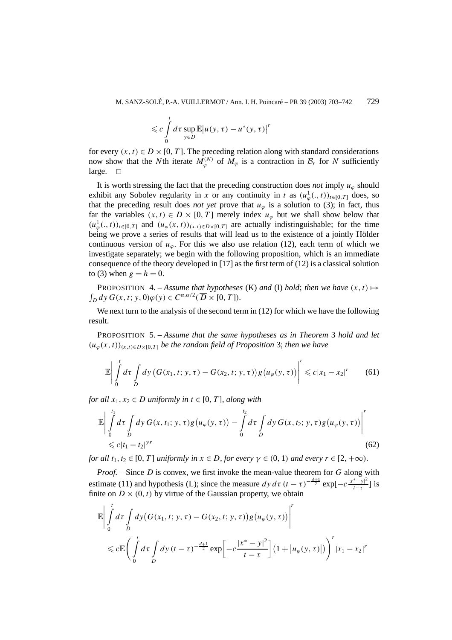$$
\leqslant c \int\limits_{0}^{t} d\tau \sup\limits_{y \in D} \mathbb{E} \big| u(y,\tau) - u^{*}(y,\tau) \big|^{r}
$$

for every  $(x, t) \in D \times [0, T]$ . The preceding relation along with standard considerations now show that the *N*th iterate  $M_{\varphi}^{(N)}$  of  $M_{\varphi}$  is a contraction in  $\mathcal{B}_r$  for *N* sufficiently large.  $\square$ 

It is worth stressing the fact that the preceding construction does *not* imply  $u_\varphi$  should exhibit any Sobolev regularity in *x* or any continuity in *t* as  $(u^1_\varphi(., t))_{t \in [0,T]}$  does, so that the preceding result does *not yet* prove that  $u_\varphi$  is a solution to (3); in fact, thus far the variables  $(x, t) \in D \times [0, T]$  merely index  $u_{\varphi}$  but we shall show below that  $(u^1_\varphi(.,t))_{t\in[0,T]}$  and  $(u_\varphi(x,t))_{(x,t)\in D\times[0,T]}$  are actually indistinguishable; for the time being we prove a series of results that will lead us to the existence of a jointly Hölder continuous version of  $u_\varphi$ . For this we also use relation (12), each term of which we investigate separately; we begin with the following proposition, which is an immediate consequence of the theory developed in [17] as the first term of (12) is a classical solution to (3) when  $g = h = 0$ .

 $\int_D dy G(x, t; y, 0) \varphi(y) \in C^{\alpha, \alpha/2}(\overline{D} \times [0, T]).$ **PROPOSITION** 4. – *Assume that hypotheses* (K) *and* (I) *hold*; *then we have*  $(x, t) \mapsto$ 

We next turn to the analysis of the second term in  $(12)$  for which we have the following result.

PROPOSITION 5. – *Assume that the same hypotheses as in Theorem* 3 *hold and let*  $(u_{\varphi}(x, t))_{(x,t)\in D\times[0,T]}$  *be the random field of Proposition* 3; *then we have* 

$$
\mathbb{E}\left|\int\limits_{0}^{t}d\tau\int\limits_{D}dy\big(G(x_1,t;y,\tau)-G(x_2,t;y,\tau)\big)g(u_{\varphi}(y,\tau))\right|^{r}\leqslant c|x_1-x_2|^{r}
$$
 (61)

*for all*  $x_1, x_2 \in D$  *uniformly in*  $t \in [0, T]$ *, along with* 

$$
\mathbb{E}\left|\int_{0}^{t_1} d\tau \int_{D} dy \, G(x, t_1; y, \tau) g(u_{\varphi}(y, \tau)) - \int_{0}^{t_2} d\tau \int_{D} dy \, G(x, t_2; y, \tau) g(u_{\varphi}(y, \tau))\right|^{r}
$$
\n
$$
\leq c|t_1 - t_2|^{\gamma r}
$$
\n(62)

*for all*  $t_1, t_2 \in [0, T]$  *uniformly in*  $x \in D$ *, for every*  $\gamma \in (0, 1)$  *and every*  $r \in [2, +\infty)$ *.* 

*Proof. –* Since *D* is convex, we first invoke the mean-value theorem for *G* along with estimate (11) and hypothesis (L); since the measure  $dy d\tau (t-\tau)^{-\frac{d+1}{2}} \exp[-c\frac{|x^* - y|^2}{t-\tau}]$  is finite on  $D \times (0, t)$  by virtue of the Gaussian property, we obtain

$$
\mathbb{E}\left|\int_{0}^{t} d\tau \int_{D} dy \big(G(x_1, t; y, \tau) - G(x_2, t; y, \tau)\big) g(u_{\varphi}(y, \tau))\right|^{r}
$$
  
\$\leq\$  $c \mathbb{E}\left(\int_{0}^{t} d\tau \int_{D} dy (t-\tau)^{-\frac{d+1}{2}} \exp\left[-c\frac{|x^* - y|^2}{t-\tau}\right] (1+|u_{\varphi}(y, \tau)|)\right)^{r}|x_1 - x_2|^{r}$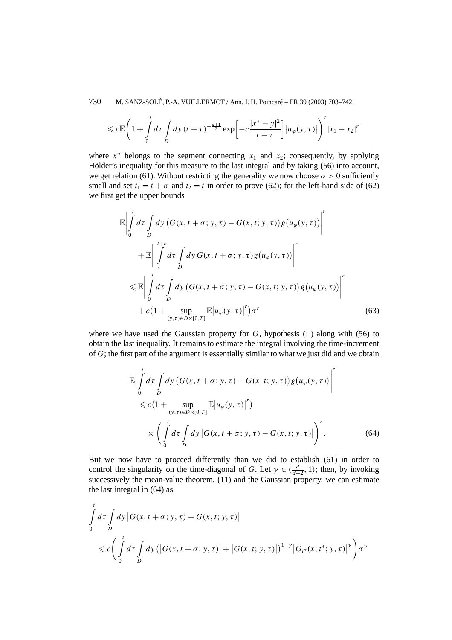730 M. SANZ-SOLÉ, P.-A. VUILLERMOT / Ann. I. H. Poincaré – PR 39 (2003) 703–742

$$
\leqslant c \mathbb{E}\left(1+\int\limits_{0}^{t} d\tau \int\limits_{D} dy \, (t-\tau)^{-\frac{d+1}{2}} \exp\left[-c\frac{|x^{*}-y|^{2}}{t-\tau}\right] |u_{\varphi}(y,\tau)|\right)^{r} |x_{1}-x_{2}|^{r}
$$

where  $x^*$  belongs to the segment connecting  $x_1$  and  $x_2$ ; consequently, by applying Hölder's inequality for this measure to the last integral and by taking (56) into account, we get relation (61). Without restricting the generality we now choose  $\sigma > 0$  sufficiently small and set  $t_1 = t + \sigma$  and  $t_2 = t$  in order to prove (62); for the left-hand side of (62) we first get the upper bounds

$$
\mathbb{E}\left|\int_{0}^{t} d\tau \int_{D} dy \left(G(x, t + \sigma; y, \tau) - G(x, t; y, \tau)\right) g(u_{\varphi}(y, \tau))\right|^{r}
$$
\n
$$
+ \mathbb{E}\left|\int_{t}^{t + \sigma} d\tau \int_{D} dy \, G(x, t + \sigma; y, \tau) g(u_{\varphi}(y, \tau))\right|^{r}
$$
\n
$$
\leq \mathbb{E}\left|\int_{0}^{t} d\tau \int_{D} dy \left(G(x, t + \sigma; y, \tau) - G(x, t; y, \tau)\right) g(u_{\varphi}(y, \tau))\right|^{r}
$$
\n
$$
+ c\left(1 + \sup_{(y, \tau) \in D \times [0, T]} \mathbb{E}|u_{\varphi}(y, \tau)|^{r}\right) \sigma^{r}
$$
\n(63)

where we have used the Gaussian property for  $G$ , hypothesis  $(L)$  along with (56) to obtain the last inequality. It remains to estimate the integral involving the time-increment of *G*; the first part of the argument is essentially similar to what we just did and we obtain

$$
\mathbb{E}\left|\int_{0}^{t} d\tau \int_{D} dy \left(G(x, t + \sigma; y, \tau) - G(x, t; y, \tau)\right) g(u_{\varphi}(y, \tau))\right|^{r}
$$
  
\$\leq c \left(1 + \sup\_{(y, \tau) \in D \times [0, T]} \mathbb{E}|u\_{\varphi}(y, \tau)|^{r}\right)\$  
\$\times \left(\int\_{0}^{t} d\tau \int\_{D} dy \left|G(x, t + \sigma; y, \tau) - G(x, t; y, \tau)\right|\right)^{r}\$. \tag{64}\$

But we now have to proceed differently than we did to establish (61) in order to control the singularity on the time-diagonal of *G*. Let  $\gamma \in (\frac{d}{d+2}, 1)$ ; then, by invoking successively the mean-value theorem,  $(11)$  and the Gaussian property, we can estimate the last integral in (64) as

$$
\int_{0}^{t} d\tau \int_{D} dy \left| G(x, t + \sigma; y, \tau) - G(x, t; y, \tau) \right|
$$
\n
$$
\leq c \left( \int_{0}^{t} d\tau \int_{D} dy \left( \left| G(x, t + \sigma; y, \tau) \right| + \left| G(x, t; y, \tau) \right| \right)^{1-\gamma} \left| G_{t^{*}}(x, t^{*}; y, \tau) \right|^{\gamma} \right) \sigma^{\gamma}
$$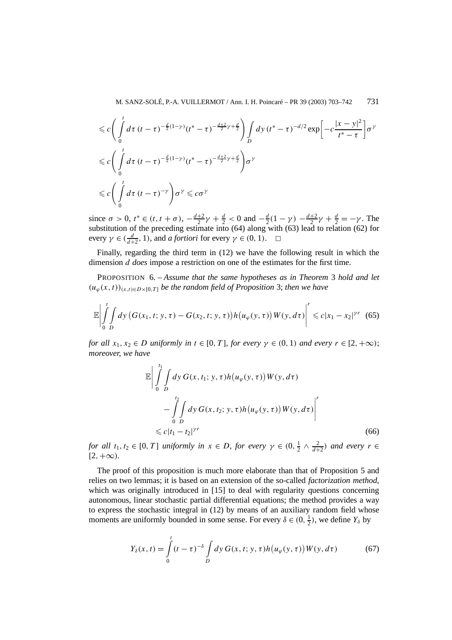$$
\leq c \left( \int_{0}^{t} d\tau \left( t - \tau \right)^{-\frac{d}{2}(1-\gamma)} (t^{*} - \tau)^{-\frac{d+2}{2}\gamma + \frac{d}{2}} \right) \int_{D} dy \left( t^{*} - \tau \right)^{-d/2} \exp \left[ -c \frac{|x - y|^{2}}{t^{*} - \tau} \right] \sigma^{\gamma}
$$
  

$$
\leq c \left( \int_{0}^{t} d\tau \left( t - \tau \right)^{-\frac{d}{2}(1-\gamma)} (t^{*} - \tau)^{-\frac{d+2}{2}\gamma + \frac{d}{2}} \right) \sigma^{\gamma}
$$
  

$$
\leq c \left( \int_{0}^{t} d\tau \left( t - \tau \right)^{-\gamma} \right) \sigma^{\gamma} \leq c \sigma^{\gamma}
$$

since  $\sigma > 0$ ,  $t^* \in (t, t + \sigma)$ ,  $-\frac{d+2}{2}\gamma + \frac{d}{2} < 0$  and  $-\frac{d}{2}(1 - \gamma) - \frac{d+2}{2}\gamma + \frac{d}{2} = -\gamma$ . The substitution of the preceding estimate into (64) along with (63) lead to relation (62) for every  $\gamma \in (\frac{d}{d+2}, 1)$ , and *a fortiori* for every  $\gamma \in (0, 1)$ .  $\Box$ 

Finally, regarding the third term in (12) we have the following result in which the dimension *d does* impose a restriction on one of the estimates for the first time.

PROPOSITION 6. – *Assume that the same hypotheses as in Theorem* 3 *hold and let*  $(u_{\varphi}(x, t))_{(x,t)\in D\times[0,T]}$  *be the random field of Proposition* 3; *then we have* 

$$
\mathbb{E}\left|\int_{0}^{t} \int_{D} dy \left(G(x_{1}, t; y, \tau) - G(x_{2}, t; y, \tau)\right) h\left(u_{\varphi}(y, \tau)\right) W(y, d\tau)\right|^{r} \leq c|x_{1} - x_{2}|^{\gamma r} \tag{65}
$$

*for all*  $x_1, x_2 \in D$  *uniformly in*  $t \in [0, T]$ *, for every*  $\gamma \in (0, 1)$  *and every*  $r \in [2, +\infty)$ ; *moreover, we have*

$$
\mathbb{E}\left|\int_{0}^{t_1}\int_{D}dy\,G(x,t_1;y,\tau)h(u_{\varphi}(y,\tau))W(y,d\tau)\right|
$$

$$
-\int_{0}^{t_2}\int_{D}dy\,G(x,t_2;y,\tau)h(u_{\varphi}(y,\tau))W(y,d\tau)\right|^r
$$

$$
\leq c|t_1-t_2|^{\gamma r}
$$
(66)

*for all*  $t_1, t_2 \in [0, T]$  *uniformly in*  $x \in D$ *, for every*  $\gamma \in (0, \frac{1}{2} \wedge \frac{2}{d+2})$  *and every*  $r \in$  $[2, +\infty)$ *.* 

The proof of this proposition is much more elaborate than that of Proposition 5 and relies on two lemmas; it is based on an extension of the so-called *factorization method*, which was originally introduced in [15] to deal with regularity questions concerning autonomous, linear stochastic partial differential equations; the method provides a way to express the stochastic integral in (12) by means of an auxiliary random field whose moments are uniformly bounded in some sense. For every  $\delta \in (0, \frac{1}{2})$ , we define  $Y_{\delta}$  by

$$
Y_{\delta}(x,t) = \int_{0}^{t} (t-\tau)^{-\delta} \int_{D} dy \, G(x,t; y,\tau) h(u_{\varphi}(y,\tau)) W(y,d\tau)
$$
 (67)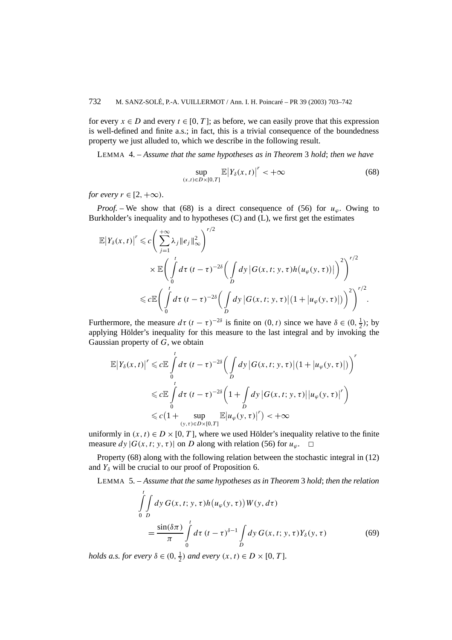for every  $x \in D$  and every  $t \in [0, T]$ ; as before, we can easily prove that this expression is well-defined and finite a.s.; in fact, this is a trivial consequence of the boundedness property we just alluded to, which we describe in the following result.

LEMMA 4. – *Assume that the same hypotheses as in Theorem* 3 *hold*; *then we have*

$$
\sup_{(x,t)\in D\times[0,T]} \mathbb{E}\big|Y_{\delta}(x,t)\big|^r < +\infty\tag{68}
$$

*for every*  $r \in [2, +\infty)$ *.* 

*Proof.* – We show that (68) is a direct consequence of (56) for  $u_\varphi$ . Owing to Burkholder's inequality and to hypotheses (C) and (L), we first get the estimates

$$
\mathbb{E}\left|Y_{\delta}(x,t)\right|^{r} \leqslant c\Bigg(\sum_{j=1}^{+\infty}\lambda_{j}\|e_{j}\|_{\infty}^{2}\Bigg)^{r/2} \times \mathbb{E}\Bigg(\int_{0}^{t}d\tau\,(t-\tau)^{-2\delta}\Big(\int_{D}dy\,\big|G(x,t;y,\tau)h\big(u_{\varphi}(y,\tau)\big)\big|\Bigg)^{2}\Bigg)^{r/2} \leqslant c\mathbb{E}\Bigg(\int_{0}^{t}d\tau\,(t-\tau)^{-2\delta}\Big(\int_{D}dy\,\big|G(x,t;y,\tau)\big|\big(1+\big|u_{\varphi}(y,\tau)\big|\big)\Bigg)^{2}\Bigg)^{r/2}.
$$

Furthermore, the measure  $d\tau (t - \tau)^{-2\delta}$  is finite on  $(0, t)$  since we have  $\delta \in (0, \frac{1}{2})$ ; by applying Hölder's inequality for this measure to the last integral and by invoking the Gaussian property of *G*, we obtain

$$
\mathbb{E}\left|Y_{\delta}(x,t)\right|^{r} \leq c \mathbb{E}\int_{0}^{t} d\tau \, (t-\tau)^{-2\delta} \bigg(\int_{D} dy \, |G(x,t;y,\tau)| \, (1+|u_{\varphi}(y,\tau)|)\bigg)^{r}
$$
\n
$$
\leq c \mathbb{E}\int_{0}^{t} d\tau \, (t-\tau)^{-2\delta} \bigg(1+\int_{D} dy \, |G(x,t;y,\tau)| |u_{\varphi}(y,\tau)|^{r}\bigg)
$$
\n
$$
\leq c \big(1+\sup_{(y,\tau)\in D\times[0,T]} \mathbb{E}\left|u_{\varphi}(y,\tau)\right|^{r}\big) < +\infty
$$

uniformly in  $(x, t) \in D \times [0, T]$ , where we used Hölder's inequality relative to the finite measure  $dy |G(x, t; y, \tau)|$  on *D* along with relation (56) for  $u_\varphi$ .  $\Box$ 

Property (68) along with the following relation between the stochastic integral in (12) and  $Y_\delta$  will be crucial to our proof of Proposition 6.

LEMMA 5. – *Assume that the same hypotheses as in Theorem* 3 *hold*; *then the relation*

$$
\int_{0}^{t} \int_{D} dy \, G(x, t; y, \tau) h(u_{\varphi}(y, \tau)) W(y, d\tau) \n= \frac{\sin(\delta \pi)}{\pi} \int_{0}^{t} d\tau \, (t - \tau)^{\delta - 1} \int_{D} dy \, G(x, t; y, \tau) Y_{\delta}(y, \tau)
$$
\n(69)

*holds a.s. for every*  $\delta \in (0, \frac{1}{2})$  *and every*  $(x, t) \in D \times [0, T]$ *.*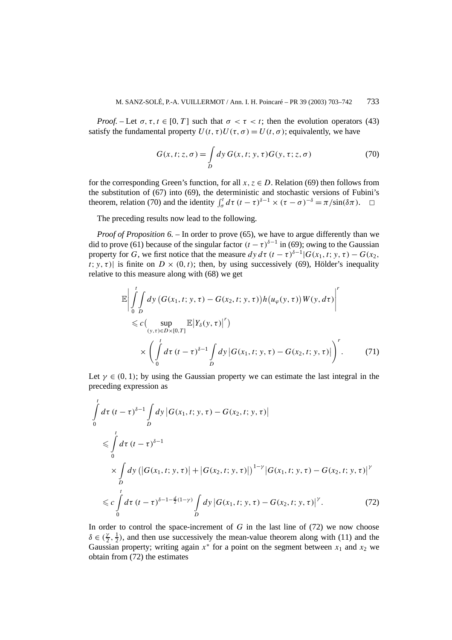*Proof.* – Let  $\sigma$ ,  $\tau$ ,  $t \in [0, T]$  such that  $\sigma < \tau < t$ ; then the evolution operators (43) satisfy the fundamental property  $U(t, \tau)U(\tau, \sigma) = U(t, \sigma)$ ; equivalently, we have

$$
G(x, t; z, \sigma) = \int_{D} dy \, G(x, t; y, \tau) G(y, \tau; z, \sigma) \tag{70}
$$

for the corresponding Green's function, for all  $x, z \in D$ . Relation (69) then follows from the substitution of (67) into (69), the deterministic and stochastic versions of Fubini's theorem, relation (70) and the identity  $\int_{\sigma}^{t} d\tau (t-\tau)^{\delta-1} \times (\tau-\sigma)^{-\delta} = \pi/\sin(\delta \pi)$ .  $\Box$ 

The preceding results now lead to the following.

*Proof of Proposition 6.* – In order to prove (65), we have to argue differently than we did to prove (61) because of the singular factor  $(t - \tau)^{\delta-1}$  in (69); owing to the Gaussian property for *G*, we first notice that the measure  $dy d\tau (t - \tau)^{\delta-1} |G(x_1, t; y, \tau) - G(x_2, \tau) |$ *t*; *y*, *τ*)| is finite on  $D \times (0, t)$ ; then, by using successively (69), Hölder's inequality relative to this measure along with (68) we get

$$
\mathbb{E}\left|\int_{0}^{t}\int_{D}dy\left(G(x_{1},t;y,\tau)-G(x_{2},t;y,\tau)\right)h(u_{\varphi}(y,\tau))W(y,d\tau)\right|^{r}
$$
\n
$$
\leq c\left(\sup_{(y,\tau)\in D\times[0,T]}\mathbb{E}\left|Y_{\delta}(y,\tau)\right|^{r}\right)
$$
\n
$$
\times\left(\int_{0}^{t}d\tau\left(t-\tau\right)^{\delta-1}\int_{D}dy\left|G(x_{1},t;y,\tau)-G(x_{2},t;y,\tau)\right|\right)^{r}.\tag{71}
$$

Let  $\gamma \in (0, 1)$ ; by using the Gaussian property we can estimate the last integral in the preceding expression as

$$
\int_{0}^{t} d\tau \left(t - \tau\right)^{\delta - 1} \int_{D} dy \left| G(x_{1}, t; y, \tau) - G(x_{2}, t; y, \tau) \right|
$$
\n
$$
\leq \int_{0}^{t} d\tau \left(t - \tau\right)^{\delta - 1}
$$
\n
$$
\times \int_{D} dy \left( \left| G(x_{1}, t; y, \tau) \right| + \left| G(x_{2}, t; y, \tau) \right| \right)^{1 - \gamma} \left| G(x_{1}, t; y, \tau) - G(x_{2}, t; y, \tau) \right|^{ \gamma}
$$
\n
$$
\leq c \int_{0}^{t} d\tau \left(t - \tau\right)^{\delta - 1 - \frac{d}{2}(1 - \gamma)} \int_{D} dy \left| G(x_{1}, t; y, \tau) - G(x_{2}, t; y, \tau) \right|^{ \gamma} . \tag{72}
$$

In order to control the space-increment of *G* in the last line of (72) we now choose  $\delta \in (\frac{\gamma}{2}, \frac{1}{2})$ , and then use successively the mean-value theorem along with (11) and the Gaussian property; writing again  $x^*$  for a point on the segment between  $x_1$  and  $x_2$  we obtain from (72) the estimates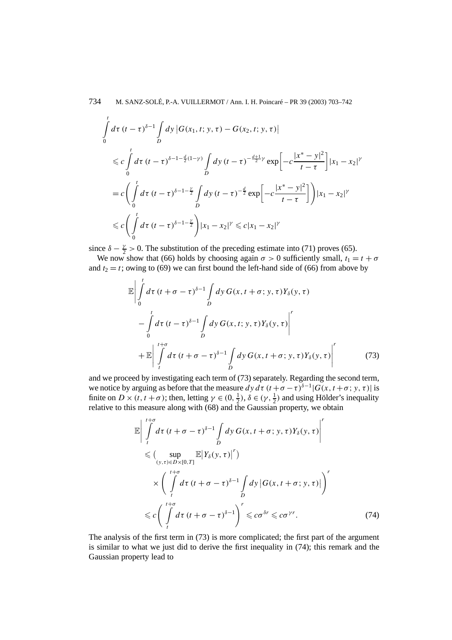$$
\int_{0}^{t} d\tau \, (t-\tau)^{\delta-1} \int_{D} dy \, |G(x_{1}, t; y, \tau) - G(x_{2}, t; y, \tau)|
$$
\n
$$
\leq c \int_{0}^{t} d\tau \, (t-\tau)^{\delta-1-\frac{d}{2}(1-\gamma)} \int_{D} dy \, (t-\tau)^{-\frac{d+1}{2}\gamma} \exp\left[-c\frac{|x^{*}-y|^{2}}{t-\tau}\right] |x_{1}-x_{2}|^{\gamma}
$$
\n
$$
= c \left(\int_{0}^{t} d\tau \, (t-\tau)^{\delta-1-\frac{\gamma}{2}} \int_{D} dy \, (t-\tau)^{-\frac{d}{2}} \exp\left[-c\frac{|x^{*}-y|^{2}}{t-\tau}\right]\right) |x_{1}-x_{2}|^{\gamma}
$$
\n
$$
\leq c \left(\int_{0}^{t} d\tau \, (t-\tau)^{\delta-1-\frac{\gamma}{2}}\right) |x_{1}-x_{2}|^{\gamma} \leq c |x_{1}-x_{2}|^{\gamma}
$$

since  $\delta - \frac{\gamma}{2} > 0$ . The substitution of the preceding estimate into (71) proves (65).

We now show that (66) holds by choosing again  $\sigma > 0$  sufficiently small,  $t_1 = t + \sigma$ and  $t_2 = t$ ; owing to (69) we can first bound the left-hand side of (66) from above by

$$
\mathbb{E}\left|\int_{0}^{t} d\tau \left(t+\sigma-\tau\right)^{\delta-1}\int_{D} dy \,G(x,t+\sigma;y,\tau)Y_{\delta}(y,\tau)\right|
$$

$$
-\int_{0}^{t} d\tau \left(t-\tau\right)^{\delta-1}\int_{D} dy \,G(x,t;y,\tau)Y_{\delta}(y,\tau)\right|^{r}
$$

$$
+\mathbb{E}\left|\int_{t}^{t+\sigma} d\tau \left(t+\sigma-\tau\right)^{\delta-1}\int_{D} dy \,G(x,t+\sigma;y,\tau)Y_{\delta}(y,\tau)\right|^{r}
$$
(73)

and we proceed by investigating each term of (73) separately. Regarding the second term, we notice by arguing as before that the measure  $dy d\tau (t + \sigma - \tau)^{\delta-1} |G(x, t + \sigma; y, \tau)|$  is finite on  $D \times (t, t + \sigma)$ ; then, letting  $\gamma \in (0, \frac{1}{2})$ ,  $\delta \in (\gamma, \frac{1}{2})$  and using Hölder's inequality relative to this measure along with (68) and the Gaussian property, we obtain

$$
\mathbb{E}\left|\int_{t}^{t+\sigma} d\tau \left(t+\sigma-\tau\right)^{\delta-1} \int_{D} dy \, G(x,t+\sigma; y,\tau) Y_{\delta}(y,\tau)\right|^{r}
$$
\n
$$
\leq \left(\sup_{(y,\tau)\in D\times[0,T]} \mathbb{E}\left|Y_{\delta}(y,\tau)\right|^{r}\right)
$$
\n
$$
\times \left(\int_{t}^{t+\sigma} d\tau \left(t+\sigma-\tau\right)^{\delta-1} \int_{D} dy \left|G(x,t+\sigma; y,\tau)\right|\right)^{r}
$$
\n
$$
\leq c \left(\int_{t}^{t+\sigma} d\tau \left(t+\sigma-\tau\right)^{\delta-1}\right)^{r} \leq c\sigma^{\delta r} \leq c\sigma^{\gamma r}.
$$
\n(74)

The analysis of the first term in (73) is more complicated; the first part of the argument is similar to what we just did to derive the first inequality in (74); this remark and the Gaussian property lead to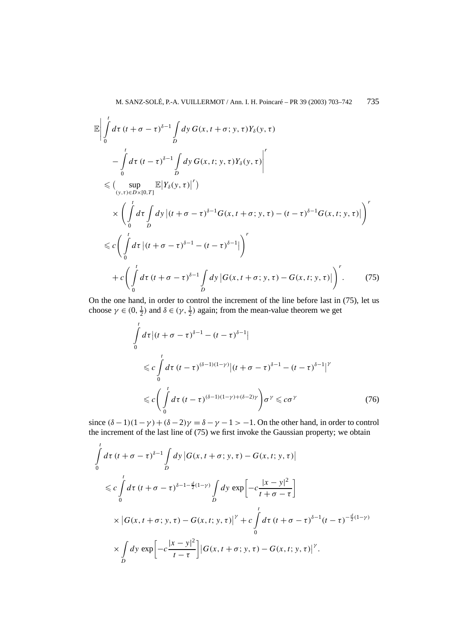$$
\mathbb{E}\left|\int_{0}^{t} d\tau \left(t+\sigma-\tau\right)^{\delta-1}\int_{D} dy \,G(x,t+\sigma;y,\tau)Y_{\delta}(y,\tau) \right|
$$
\n
$$
-\int_{0}^{t} d\tau \left(t-\tau\right)^{\delta-1}\int_{D} dy \,G(x,t;y,\tau)Y_{\delta}(y,\tau)\Big|^{r}
$$
\n
$$
\leq \left(\sup_{(y,\tau)\in D\times[0,T]} \mathbb{E}\left|Y_{\delta}(y,\tau)\right|^{r}\right)
$$
\n
$$
\times \left(\int_{0}^{t} d\tau \int_{D} dy \left|(t+\sigma-\tau)^{\delta-1}G(x,t+\sigma;y,\tau)-(t-\tau)^{\delta-1}G(x,t;y,\tau)\right|\right)^{r}
$$
\n
$$
\leq c \left(\int_{0}^{t} d\tau \left|(t+\sigma-\tau)^{\delta-1}-(t-\tau)^{\delta-1}\right|\right)^{r}
$$
\n
$$
+ c \left(\int_{0}^{t} d\tau \left(t+\sigma-\tau\right)^{\delta-1}\int_{D} dy \left|G(x,t+\sigma;y,\tau)-G(x,t;y,\tau)\right|\right)^{r}.\tag{75}
$$

On the one hand, in order to control the increment of the line before last in (75), let us choose  $\gamma \in (0, \frac{1}{2})$  and  $\delta \in (\gamma, \frac{1}{2})$  again; from the mean-value theorem we get

$$
\int_{0}^{t} d\tau \left| (t + \sigma - \tau)^{\delta - 1} - (t - \tau)^{\delta - 1} \right|
$$
\n
$$
\leq c \int_{0}^{t} d\tau \ (t - \tau)^{(\delta - 1)(1 - \gamma)} \left| (t + \sigma - \tau)^{\delta - 1} - (t - \tau)^{\delta - 1} \right|^{\gamma}
$$
\n
$$
\leq c \left( \int_{0}^{t} d\tau \ (t - \tau)^{(\delta - 1)(1 - \gamma) + (\delta - 2)\gamma} \right) \sigma^{\gamma} \leq c \sigma^{\gamma}
$$
\n(76)

since  $(\delta - 1)(1 - \gamma) + (\delta - 2)\gamma = \delta - \gamma - 1 > -1$ . On the other hand, in order to control the increment of the last line of (75) we first invoke the Gaussian property; we obtain

$$
\int_{0}^{t} d\tau \left(t + \sigma - \tau\right)^{\delta - 1} \int_{D} dy \left| G(x, t + \sigma; y, \tau) - G(x, t; y, \tau) \right|
$$
\n
$$
\leq c \int_{0}^{t} d\tau \left(t + \sigma - \tau\right)^{\delta - 1 - \frac{d}{2}(1 - \gamma)} \int_{D} dy \exp\left[-c\frac{|x - y|^2}{t + \sigma - \tau}\right]
$$
\n
$$
\times \left| G(x, t + \sigma; y, \tau) - G(x, t; y, \tau) \right|^{ \gamma} + c \int_{0}^{t} d\tau \left(t + \sigma - \tau\right)^{\delta - 1} (t - \tau)^{-\frac{d}{2}(1 - \gamma)}
$$
\n
$$
\times \int_{D} dy \exp\left[-c\frac{|x - y|^2}{t - \tau}\right] \left| G(x, t + \sigma; y, \tau) - G(x, t; y, \tau) \right|^{ \gamma}.
$$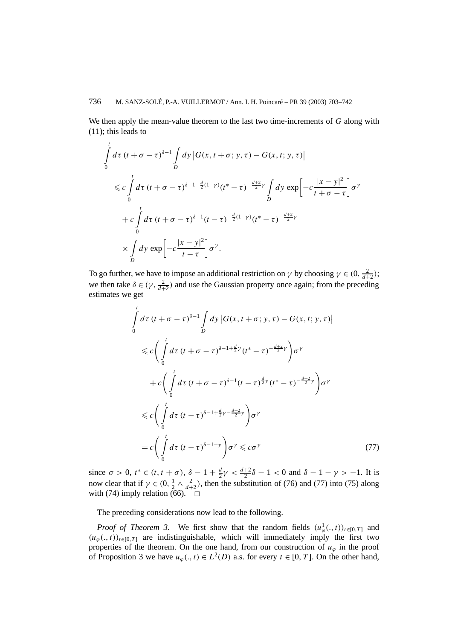We then apply the mean-value theorem to the last two time-increments of *G* along with (11); this leads to

$$
\int_{0}^{t} d\tau (t + \sigma - \tau)^{\delta - 1} \int_{D} dy \left| G(x, t + \sigma; y, \tau) - G(x, t; y, \tau) \right|
$$
\n
$$
\leq c \int_{0}^{t} d\tau (t + \sigma - \tau)^{\delta - 1 - \frac{d}{2}(1 - \gamma)} (t^{*} - \tau)^{-\frac{d + 2}{2}\gamma} \int_{D} dy \exp\left[ -c \frac{|x - y|^{2}}{t + \sigma - \tau} \right] \sigma^{\gamma}
$$
\n
$$
+ c \int_{0}^{t} d\tau (t + \sigma - \tau)^{\delta - 1} (t - \tau)^{-\frac{d}{2}(1 - \gamma)} (t^{*} - \tau)^{-\frac{d + 2}{2}\gamma}
$$
\n
$$
\times \int_{D} dy \exp\left[ -c \frac{|x - y|^{2}}{t - \tau} \right] \sigma^{\gamma}.
$$

To go further, we have to impose an additional restriction on *γ* by choosing  $\gamma \in (0, \frac{2}{d+2})$ ; we then take  $\delta \in (\gamma, \frac{2}{d+2})$  and use the Gaussian property once again; from the preceding estimates we get

$$
\int_{0}^{t} d\tau (t + \sigma - \tau)^{\delta - 1} \int_{D} dy |G(x, t + \sigma; y, \tau) - G(x, t; y, \tau)|
$$
\n
$$
\leq c \Biggl( \int_{0}^{t} d\tau (t + \sigma - \tau)^{\delta - 1 + \frac{d}{2}\gamma} (t^{*} - \tau)^{-\frac{d+2}{2}\gamma} \Biggr) \sigma^{\gamma}
$$
\n
$$
+ c \Biggl( \int_{0}^{t} d\tau (t + \sigma - \tau)^{\delta - 1} (t - \tau)^{\frac{d}{2}\gamma} (t^{*} - \tau)^{-\frac{d+2}{2}\gamma} \Biggr) \sigma^{\gamma}
$$
\n
$$
\leq c \Biggl( \int_{0}^{t} d\tau (t - \tau)^{\delta - 1 + \frac{d}{2}\gamma - \frac{d+2}{2}\gamma} \Biggr) \sigma^{\gamma}
$$
\n
$$
= c \Biggl( \int_{0}^{t} d\tau (t - \tau)^{\delta - 1 - \gamma} \Biggr) \sigma^{\gamma} \leq c \sigma^{\gamma}
$$
\n(77)

since *σ* > 0, *t*<sup>\*</sup> ∈ (*t*, *t* + *σ*),  $δ - 1 + \frac{d}{2}γ < \frac{d+2}{2}δ - 1 < 0$  and  $δ - 1 - γ > -1$ . It is now clear that if  $\gamma \in (0, \frac{1}{2} \wedge \frac{2}{d+2})$ , then the substitution of (76) and (77) into (75) along with (74) imply relation (66).  $\Box$ 

The preceding considerations now lead to the following.

*Proof of Theorem 3.* – We first show that the random fields  $(u^1_\varphi(.,t))_{t\in[0,T]}$  and  $(u_\varphi(., t))_{t\in[0,T]}$  are indistinguishable, which will immediately imply the first two properties of the theorem. On the one hand, from our construction of  $u_\varphi$  in the proof of Proposition 3 we have  $u_\varphi(., t) \in L^2(D)$  a.s. for every  $t \in [0, T]$ . On the other hand,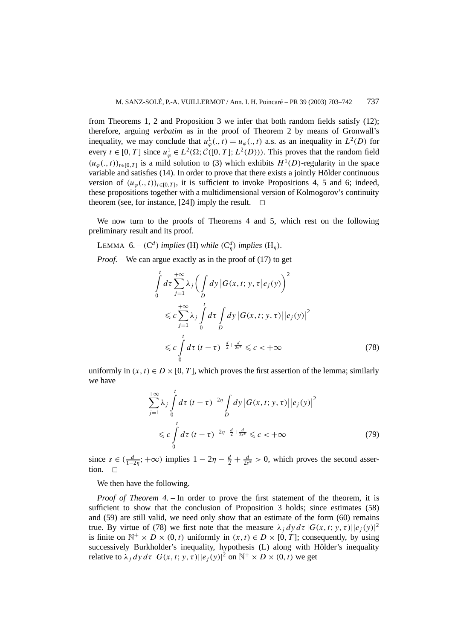from Theorems 1, 2 and Proposition 3 we infer that both random fields satisfy (12); therefore, arguing *verbatim* as in the proof of Theorem 2 by means of Gronwall's inequality, we may conclude that  $u^1_\varphi(x,t) = u_\varphi(x,t)$  a.s. as an inequality in  $L^2(D)$  for every  $t \in [0, T]$  since  $u_{\varphi}^1 \in L^2(\Omega; C([0, T]; L^2(D)))$ . This proves that the random field  $(u_{\varphi}(., t))_{t\in[0,T]}$  is a mild solution to (3) which exhibits  $H^1(D)$ -regularity in the space variable and satisfies (14). In order to prove that there exists a jointly Hölder continuous version of  $(u_\varphi(., t))_{t\in[0,T]}$ , it is sufficient to invoke Propositions 4, 5 and 6; indeed, these propositions together with a multidimensional version of Kolmogorov's continuity theorem (see, for instance, [24]) imply the result.  $\Box$ 

We now turn to the proofs of Theorems 4 and 5, which rest on the following preliminary result and its proof.

LEMMA 6. –  $(C^d)$  *implies*  $(H)$  *while*  $(C^d_\eta)$  *implies*  $(H_\eta)$ *.* 

*Proof.* – We can argue exactly as in the proof of (17) to get

$$
\int_{0}^{t} d\tau \sum_{j=1}^{+\infty} \lambda_{j} \Biggl( \int_{D} dy \, |G(x, t; y, \tau| e_{j}(y) \Biggr)^{2}
$$
\n
$$
\leq c \sum_{j=1}^{+\infty} \lambda_{j} \int_{0}^{t} d\tau \int_{D} dy \, |G(x, t; y, \tau)| |e_{j}(y)|^{2}
$$
\n
$$
\leq c \int_{0}^{t} d\tau (t - \tau)^{-\frac{d}{2} + \frac{d}{2s^{*}}} \leq c < +\infty
$$
\n(78)

uniformly in  $(x, t) \in D \times [0, T]$ , which proves the first assertion of the lemma; similarly we have

$$
\sum_{j=1}^{+\infty} \lambda_j \int_0^t d\tau \ (t-\tau)^{-2\eta} \int_D dy \ |G(x,t;y,\tau)||e_j(y)|^2
$$
  
\$\leq c \int\_0^t d\tau \ (t-\tau)^{-2\eta-\frac{d}{2}+\frac{d}{2s^\*}} \leq c < +\infty\$ (79)

since  $s \in (\frac{d}{1-2\eta}; +\infty)$  implies  $1-2\eta - \frac{d}{2} + \frac{d}{2s^*} > 0$ , which proves the second assertion.

We then have the following.

*Proof of Theorem 4. –* In order to prove the first statement of the theorem, it is sufficient to show that the conclusion of Proposition 3 holds; since estimates (58) and (59) are still valid, we need only show that an estimate of the form (60) remains true. By virtue of (78) we first note that the measure  $\lambda_j dy d\tau |G(x, t; y, \tau)||e_j(y)|^2$ is finite on  $\mathbb{N}^+ \times D \times (0, t)$  uniformly in  $(x, t) \in D \times [0, T]$ ; consequently, by using successively Burkholder's inequality, hypothesis (L) along with Hölder's inequality relative to  $\lambda_j dy d\tau |G(x, t; y, \tau)||e_j(y)|^2$  on  $\mathbb{N}^+ \times D \times (0, t)$  we get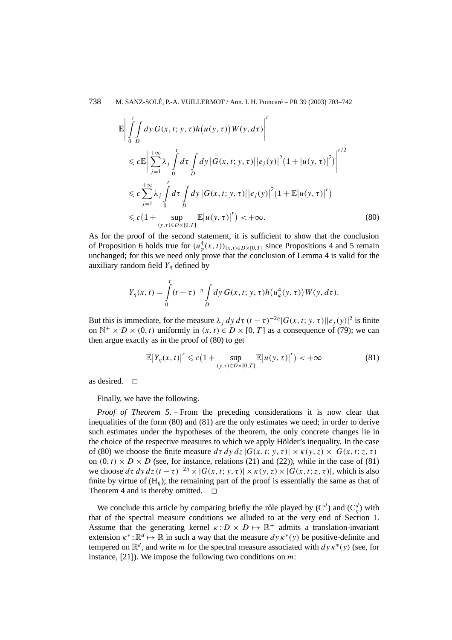738 M. SANZ-SOLÉ, P.-A. VUILLERMOT / Ann. I. H. Poincaré – PR 39 (2003) 703–742

$$
\mathbb{E}\left|\int_{0}^{t}\int_{D}dy\,G(x,t;y,\tau)h(u(y,\tau))W(y,d\tau)\right|^{r}
$$
\n
$$
\leq c\mathbb{E}\left|\sum_{j=1}^{+\infty}\lambda_{j}\int_{0}^{t}d\tau\int_{D}dy\,|G(x,t;y,\tau)||e_{j}(y)|^{2}(1+|u(y,\tau)|^{2})\right|^{r/2}
$$
\n
$$
\leq c\sum_{j=1}^{+\infty}\lambda_{j}\int_{0}^{t}d\tau\int_{D}dy\,|G(x,t;y,\tau)||e_{j}(y)|^{2}(1+\mathbb{E}|u(y,\tau)|^{r})
$$
\n
$$
\leq c(1+\sup_{(y,\tau)\in D\times[0,T]}\mathbb{E}|u(y,\tau)|^{r})<+\infty.
$$
\n(80)

As for the proof of the second statement, it is sufficient to show that the conclusion of Proposition 6 holds true for  $(u^4_\varphi(x, t))_{(x,t)\in D\times[0,T]}$  since Propositions 4 and 5 remain unchanged; for this we need only prove that the conclusion of Lemma 4 is valid for the auxiliary random field *Yη* defined by

$$
Y_{\eta}(x,t) = \int_{0}^{t} (t-\tau)^{-\eta} \int_{D} dy \, G(x,t; y, \tau) h(u_{\varphi}^{4}(y,\tau)) W(y, d\tau).
$$

But this is immediate, for the measure  $\lambda_j dy d\tau (t-\tau)^{-2\eta} |G(x, t; y, \tau)||e_j(y)|^2$  is finite on  $\mathbb{N}^+ \times D \times (0, t)$  uniformly in  $(x, t) \in D \times [0, T]$  as a consequence of (79); we can then argue exactly as in the proof of (80) to get

$$
\mathbb{E}\left|Y_{\eta}(x,t)\right|^{r} \leqslant c\left(1+\sup_{(y,\tau)\in D\times[0,T]}\mathbb{E}\left|u(y,\tau)\right|^{r}\right) < +\infty
$$
\n(81)

as desired.  $\Box$ 

Finally, we have the following.

*Proof of Theorem 5. –* From the preceding considerations it is now clear that inequalities of the form (80) and (81) are the only estimates we need; in order to derive such estimates under the hypotheses of the theorem, the only concrete changes lie in the choice of the respective measures to which we apply Hölder's inequality. In the case of (80) we choose the finite measure  $d\tau dy dz |G(x, t; y, \tau)| \times \kappa(y, z) \times |G(x, t; z, \tau)|$ on  $(0, t) \times D \times D$  (see, for instance, relations (21) and (22)), while in the case of (81) we choose  $d\tau \, dy \, dz \, (t - \tau)^{-2\eta} \times |G(x, t; y, \tau)| \times \kappa(y, z) \times |G(x, t; z, \tau)|$ , which is also finite by virtue of  $(H_n)$ ; the remaining part of the proof is essentially the same as that of Theorem 4 and is thereby omitted.  $\square$ 

We conclude this article by comparing briefly the rôle played by  $(C^d)$  and  $(C^d_\eta)$  with that of the spectral measure conditions we alluded to at the very end of Section 1. Assume that the generating kernel  $\kappa : D \times D \mapsto \mathbb{R}^+$  admits a translation-invariant extension  $\kappa^* : \mathbb{R}^d \mapsto \mathbb{R}$  in such a way that the measure  $dy \kappa^*(y)$  be positive-definite and tempered on  $\mathbb{R}^d$ , and write *m* for the spectral measure associated with  $dy \kappa^*(y)$  (see, for instance, [21]). We impose the following two conditions on *m*: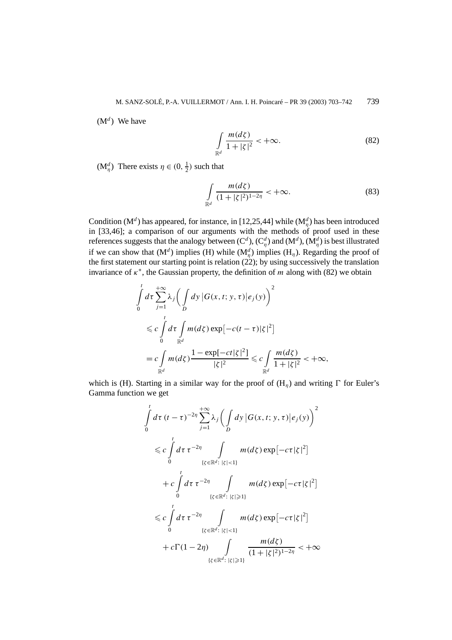M. SANZ-SOLÉ, P.-A. VUILLERMOT / Ann. I. H. Poincaré – PR 39 (2003) 703–742 739

 $(M^d)$  We have

$$
\int_{\mathbb{R}^d} \frac{m(d\zeta)}{1+|\zeta|^2} < +\infty.
$$
 (82)

 $(M_{\eta}^d)$  There exists  $\eta \in (0, \frac{1}{2})$  such that

$$
\int_{\mathbb{R}^d} \frac{m(d\zeta)}{(1+|\zeta|^2)^{1-2\eta}} < +\infty.
$$
 (83)

Condition ( $M^d$ ) has appeared, for instance, in [12,25,44] while ( $M^d_\eta$ ) has been introduced in [33,46]; a comparison of our arguments with the methods of proof used in these references suggests that the analogy between (C<sup>d</sup>), (C $_q^d$ ) and (M<sup>d</sup>), (M $_q^d$ ) is best illustrated if we can show that  $(M^d)$  implies  $(H)$  while  $(M^d_\eta)$  implies  $(H_\eta)$ . Regarding the proof of the first statement our starting point is relation  $(22)$ ; by using successively the translation invariance of *κ*<sup>∗</sup>, the Gaussian property, the definition of *m* along with (82) we obtain

$$
\int_{0}^{t} d\tau \sum_{j=1}^{+\infty} \lambda_{j} \bigg( \int_{D} dy \, |G(x, t; y, \tau)| e_{j}(y) \bigg)^{2}
$$
\n
$$
\leq c \int_{0}^{t} d\tau \int_{\mathbb{R}^{d}} m(d\zeta) \exp[-c(t-\tau)|\zeta|^{2}]
$$
\n
$$
= c \int_{\mathbb{R}^{d}} m(d\zeta) \frac{1 - \exp[-ct|\zeta|^{2}]}{|\zeta|^{2}} \leq c \int_{\mathbb{R}^{d}} \frac{m(d\zeta)}{1 + |\zeta|^{2}} < +\infty,
$$

which is (H). Starting in a similar way for the proof of  $(H_n)$  and writing  $\Gamma$  for Euler's Gamma function we get

$$
\int_{0}^{t} d\tau (t-\tau)^{-2\eta} \sum_{j=1}^{+\infty} \lambda_{j} \Big( \int_{D} dy |G(x, t; y, \tau)| e_{j}(y) \Big)^{2}
$$
  
\n
$$
\leq c \int_{0}^{t} d\tau \tau^{-2\eta} \int_{\{\zeta \in \mathbb{R}^{d} : |\zeta| < 1\}} m(d\zeta) \exp[-c\tau |\zeta|^{2}]
$$
  
\n
$$
+ c \int_{0}^{t} d\tau \tau^{-2\eta} \int_{\{\zeta \in \mathbb{R}^{d} : |\zeta| \geq 1\}} m(d\zeta) \exp[-c\tau |\zeta|^{2}]
$$
  
\n
$$
\leq c \int_{0}^{t} d\tau \tau^{-2\eta} \int_{\{\zeta \in \mathbb{R}^{d} : |\zeta| < 1\}} m(d\zeta) \exp[-c\tau |\zeta|^{2}]
$$
  
\n
$$
+ c \Gamma(1-2\eta) \int_{\{\zeta \in \mathbb{R}^{d} : |\zeta| \geq 1\}} \frac{m(d\zeta)}{(1+|\zeta|^{2})^{1-2\eta}} < +\infty
$$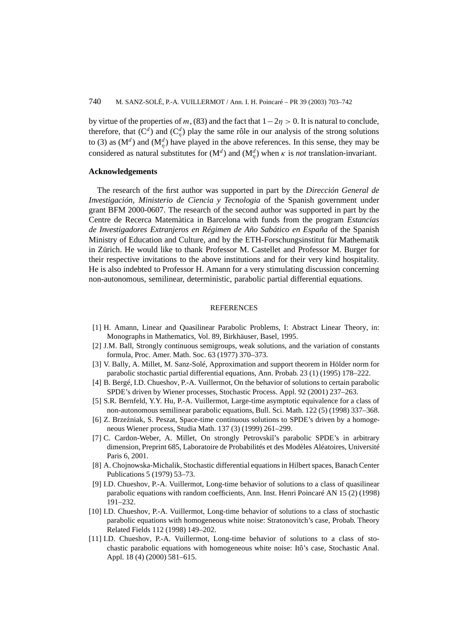by virtue of the properties of *m*, (83) and the fact that  $1-2\eta > 0$ . It is natural to conclude, therefore, that  $(C^d)$  and  $(C^d_\eta)$  play the same rôle in our analysis of the strong solutions to (3) as  $(M^d)$  and  $(M^d_\eta)$  have played in the above references. In this sense, they may be considered as natural substitutes for  $(M^d)$  and  $(M^d)$  when *κ* is *not* translation-invariant.

# **Acknowledgements**

The research of the first author was supported in part by the *Dirección General de Investigación, Ministerio de Ciencia y Tecnologia* of the Spanish government under grant BFM 2000-0607. The research of the second author was supported in part by the Centre de Recerca Matemàtica in Barcelona with funds from the program *Estancias de Investigadores Extranjeros en Régimen de Año Sabático en España* of the Spanish Ministry of Education and Culture, and by the ETH-Forschungsinstitut für Mathematik in Zürich. He would like to thank Professor M. Castellet and Professor M. Burger for their respective invitations to the above institutions and for their very kind hospitality. He is also indebted to Professor H. Amann for a very stimulating discussion concerning non-autonomous, semilinear, deterministic, parabolic partial differential equations.

#### **REFERENCES**

- [1] H. Amann, Linear and Quasilinear Parabolic Problems, I: Abstract Linear Theory, in: Monographs in Mathematics, Vol. 89, Birkhäuser, Basel, 1995.
- [2] J.M. Ball, Strongly continuous semigroups, weak solutions, and the variation of constants formula, Proc. Amer. Math. Soc. 63 (1977) 370–373.
- [3] V. Bally, A. Millet, M. Sanz-Solé, Approximation and support theorem in Hölder norm for parabolic stochastic partial differential equations, Ann. Probab. 23 (1) (1995) 178–222.
- [4] B. Bergé, I.D. Chueshov, P.-A. Vuillermot, On the behavior of solutions to certain parabolic SPDE's driven by Wiener processes, Stochastic Process. Appl. 92 (2001) 237–263.
- [5] S.R. Bernfeld, Y.Y. Hu, P.-A. Vuillermot, Large-time asymptotic equivalence for a class of non-autonomous semilinear parabolic equations, Bull. Sci. Math. 122 (5) (1998) 337–368.
- [6] Z. Brzeźniak, S. Peszat, Space-time continuous solutions to SPDE's driven by a homogeneous Wiener process, Studia Math. 137 (3) (1999) 261–299.
- [7] C. Cardon-Weber, A. Millet, On strongly Petrovskii's parabolic SPDE's in arbitrary dimension, Preprint 685, Laboratoire de Probabilités et des Modèles Aléatoires, Université Paris 6, 2001.
- [8] A. Chojnowska-Michalik, Stochastic differential equations in Hilbert spaces, Banach Center Publications 5 (1979) 53–73.
- [9] I.D. Chueshov, P.-A. Vuillermot, Long-time behavior of solutions to a class of quasilinear parabolic equations with random coefficients, Ann. Inst. Henri Poincaré AN 15 (2) (1998) 191–232.
- [10] I.D. Chueshov, P.-A. Vuillermot, Long-time behavior of solutions to a class of stochastic parabolic equations with homogeneous white noise: Stratonovitch's case, Probab. Theory Related Fields 112 (1998) 149–202.
- [11] I.D. Chueshov, P.-A. Vuillermot, Long-time behavior of solutions to a class of stochastic parabolic equations with homogeneous white noise: Itô's case, Stochastic Anal. Appl. 18 (4) (2000) 581–615.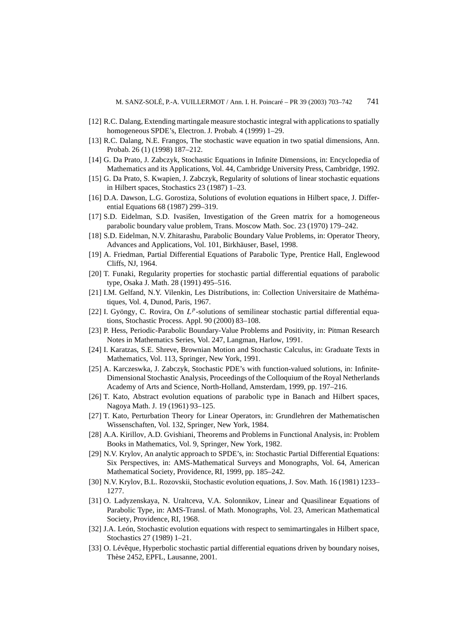- [12] R.C. Dalang, Extending martingale measure stochastic integral with applications to spatially homogeneous SPDE's, Electron. J. Probab. 4 (1999) 1–29.
- [13] R.C. Dalang, N.E. Frangos, The stochastic wave equation in two spatial dimensions, Ann. Probab. 26 (1) (1998) 187–212.
- [14] G. Da Prato, J. Zabczyk, Stochastic Equations in Infinite Dimensions, in: Encyclopedia of Mathematics and its Applications, Vol. 44, Cambridge University Press, Cambridge, 1992.
- [15] G. Da Prato, S. Kwapien, J. Zabczyk, Regularity of solutions of linear stochastic equations in Hilbert spaces, Stochastics 23 (1987) 1–23.
- [16] D.A. Dawson, L.G. Gorostiza, Solutions of evolution equations in Hilbert space, J. Differential Equations 68 (1987) 299–319.
- [17] S.D. Eidelman, S.D. Ivasisen, Investigation of the Green matrix for a homogeneous ˘ parabolic boundary value problem, Trans. Moscow Math. Soc. 23 (1970) 179–242.
- [18] S.D. Eidelman, N.V. Zhitarashu, Parabolic Boundary Value Problems, in: Operator Theory, Advances and Applications, Vol. 101, Birkhäuser, Basel, 1998.
- [19] A. Friedman, Partial Differential Equations of Parabolic Type, Prentice Hall, Englewood Cliffs, NJ, 1964.
- [20] T. Funaki, Regularity properties for stochastic partial differential equations of parabolic type, Osaka J. Math. 28 (1991) 495–516.
- [21] I.M. Gelfand, N.Y. Vilenkin, Les Distributions, in: Collection Universitaire de Mathématiques, Vol. 4, Dunod, Paris, 1967.
- [22] I. Gyöngy, C. Rovira, On  $L^p$ -solutions of semilinear stochastic partial differential equations, Stochastic Process. Appl. 90 (2000) 83–108.
- [23] P. Hess, Periodic-Parabolic Boundary-Value Problems and Positivity, in: Pitman Research Notes in Mathematics Series, Vol. 247, Langman, Harlow, 1991.
- [24] I. Karatzas, S.E. Shreve, Brownian Motion and Stochastic Calculus, in: Graduate Texts in Mathematics, Vol. 113, Springer, New York, 1991.
- [25] A. Karczeswka, J. Zabczyk, Stochastic PDE's with function-valued solutions, in: Infinite-Dimensional Stochastic Analysis, Proceedings of the Colloquium of the Royal Netherlands Academy of Arts and Science, North-Holland, Amsterdam, 1999, pp. 197–216.
- [26] T. Kato, Abstract evolution equations of parabolic type in Banach and Hilbert spaces, Nagoya Math. J. 19 (1961) 93–125.
- [27] T. Kato, Perturbation Theory for Linear Operators, in: Grundlehren der Mathematischen Wissenschaften, Vol. 132, Springer, New York, 1984.
- [28] A.A. Kirillov, A.D. Gvishiani, Theorems and Problems in Functional Analysis, in: Problem Books in Mathematics, Vol. 9, Springer, New York, 1982.
- [29] N.V. Krylov, An analytic approach to SPDE's, in: Stochastic Partial Differential Equations: Six Perspectives, in: AMS-Mathematical Surveys and Monographs, Vol. 64, American Mathematical Society, Providence, RI, 1999, pp. 185–242.
- [30] N.V. Krylov, B.L. Rozovskii, Stochastic evolution equations, J. Sov. Math. 16 (1981) 1233– 1277.
- [31] O. Ladyzenskaya, N. Uraltceva, V.A. Solonnikov, Linear and Quasilinear Equations of Parabolic Type, in: AMS-Transl. of Math. Monographs, Vol. 23, American Mathematical Society, Providence, RI, 1968.
- [32] J.A. León, Stochastic evolution equations with respect to semimartingales in Hilbert space, Stochastics 27 (1989) 1–21.
- [33] O. Lévêque, Hyperbolic stochastic partial differential equations driven by boundary noises, Thèse 2452, EPFL, Lausanne, 2001.